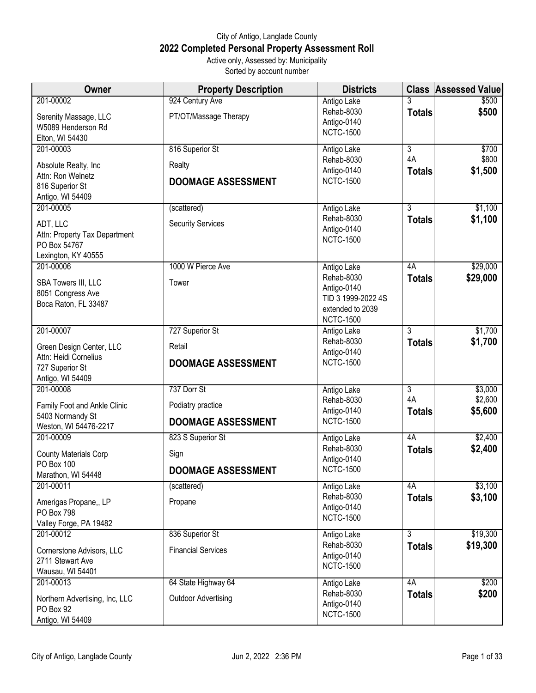## City of Antigo, Langlade County **2022 Completed Personal Property Assessment Roll** Active only, Assessed by: Municipality

Sorted by account number

| Owner                                                                                                 | <b>Property Description</b>                                   | <b>Districts</b>                                                                                       |                                       | <b>Class Assessed Value</b>   |
|-------------------------------------------------------------------------------------------------------|---------------------------------------------------------------|--------------------------------------------------------------------------------------------------------|---------------------------------------|-------------------------------|
| 201-00002<br>Serenity Massage, LLC<br>W5089 Henderson Rd<br>Elton, WI 54430                           | 924 Century Ave<br>PT/OT/Massage Therapy                      | Antigo Lake<br>Rehab-8030<br>Antigo-0140<br><b>NCTC-1500</b>                                           | <b>Totals</b>                         | \$500<br>\$500                |
| 201-00003<br>Absolute Realty, Inc.<br>Attn: Ron Welnetz<br>816 Superior St<br>Antigo, WI 54409        | 816 Superior St<br>Realty<br><b>DOOMAGE ASSESSMENT</b>        | Antigo Lake<br>Rehab-8030<br>Antigo-0140<br><b>NCTC-1500</b>                                           | 3<br>4A<br><b>Totals</b>              | \$700<br>\$800<br>\$1,500     |
| 201-00005<br>ADT, LLC<br>Attn: Property Tax Department<br>PO Box 54767<br>Lexington, KY 40555         | (scattered)<br><b>Security Services</b>                       | Antigo Lake<br>Rehab-8030<br>Antigo-0140<br><b>NCTC-1500</b>                                           | 3<br><b>Totals</b>                    | \$1,100<br>\$1,100            |
| 201-00006<br>SBA Towers III, LLC<br>8051 Congress Ave<br>Boca Raton, FL 33487                         | 1000 W Pierce Ave<br>Tower                                    | Antigo Lake<br>Rehab-8030<br>Antigo-0140<br>TID 3 1999-2022 4S<br>extended to 2039<br><b>NCTC-1500</b> | 4A<br><b>Totals</b>                   | \$29,000<br>\$29,000          |
| 201-00007<br>Green Design Center, LLC<br>Attn: Heidi Cornelius<br>727 Superior St<br>Antigo, WI 54409 | 727 Superior St<br>Retail<br><b>DOOMAGE ASSESSMENT</b>        | Antigo Lake<br>Rehab-8030<br>Antigo-0140<br><b>NCTC-1500</b>                                           | $\overline{3}$<br><b>Totals</b>       | \$1,700<br>\$1,700            |
| 201-00008<br>Family Foot and Ankle Clinic<br>5403 Normandy St<br>Weston, WI 54476-2217                | 737 Dorr St<br>Podiatry practice<br><b>DOOMAGE ASSESSMENT</b> | Antigo Lake<br>Rehab-8030<br>Antigo-0140<br><b>NCTC-1500</b>                                           | $\overline{3}$<br>4A<br><b>Totals</b> | \$3,000<br>\$2,600<br>\$5,600 |
| 201-00009<br><b>County Materials Corp</b><br>PO Box 100<br>Marathon, WI 54448                         | 823 S Superior St<br>Sign<br><b>DOOMAGE ASSESSMENT</b>        | Antigo Lake<br>Rehab-8030<br>Antigo-0140<br><b>NCTC-1500</b>                                           | 4A<br><b>Totals</b>                   | \$2,400<br>\$2,400            |
| 201-00011<br>Amerigas Propane,, LP<br>PO Box 798<br>Valley Forge, PA 19482                            | (scattered)<br>Propane                                        | Antigo Lake<br>Rehab-8030<br>Antigo-0140<br><b>NCTC-1500</b>                                           | 4A<br><b>Totals</b>                   | \$3,100<br>\$3,100            |
| 201-00012<br>Cornerstone Advisors, LLC<br>2711 Stewart Ave<br>Wausau, WI 54401                        | 836 Superior St<br><b>Financial Services</b>                  | Antigo Lake<br>Rehab-8030<br>Antigo-0140<br><b>NCTC-1500</b>                                           | $\overline{3}$<br><b>Totals</b>       | \$19,300<br>\$19,300          |
| 201-00013<br>Northern Advertising, Inc, LLC<br>PO Box 92<br>Antigo, WI 54409                          | 64 State Highway 64<br><b>Outdoor Advertising</b>             | Antigo Lake<br>Rehab-8030<br>Antigo-0140<br><b>NCTC-1500</b>                                           | 4A<br><b>Totals</b>                   | \$200<br>\$200                |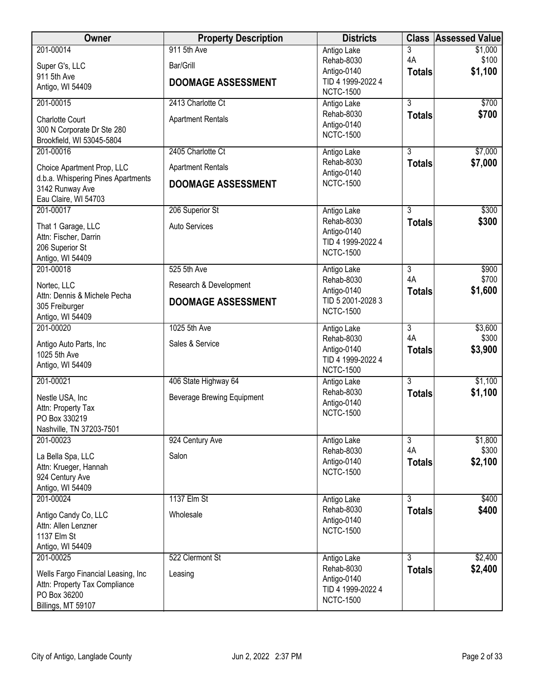| Owner                                    | <b>Property Description</b>       | <b>Districts</b>                      | <b>Class</b>         | <b>Assessed Value</b> |
|------------------------------------------|-----------------------------------|---------------------------------------|----------------------|-----------------------|
| 201-00014                                | 911 5th Ave                       | Antigo Lake                           | 3                    | \$1,000               |
| Super G's, LLC                           | Bar/Grill                         | Rehab-8030                            | 4A                   | \$100                 |
| 911 5th Ave                              |                                   | Antigo-0140<br>TID 4 1999-2022 4      | <b>Totals</b>        | \$1,100               |
| Antigo, WI 54409                         | <b>DOOMAGE ASSESSMENT</b>         | <b>NCTC-1500</b>                      |                      |                       |
| 201-00015                                | 2413 Charlotte Ct                 | Antigo Lake                           | $\overline{3}$       | \$700                 |
| <b>Charlotte Court</b>                   | <b>Apartment Rentals</b>          | Rehab-8030                            | <b>Totals</b>        | \$700                 |
| 300 N Corporate Dr Ste 280               |                                   | Antigo-0140                           |                      |                       |
| Brookfield, WI 53045-5804                |                                   | <b>NCTC-1500</b>                      |                      |                       |
| 201-00016                                | 2405 Charlotte Ct                 | Antigo Lake                           | $\overline{3}$       | \$7,000               |
| Choice Apartment Prop, LLC               | <b>Apartment Rentals</b>          | Rehab-8030                            | <b>Totals</b>        | \$7,000               |
| d.b.a. Whispering Pines Apartments       | <b>DOOMAGE ASSESSMENT</b>         | Antigo-0140<br><b>NCTC-1500</b>       |                      |                       |
| 3142 Runway Ave                          |                                   |                                       |                      |                       |
| Eau Claire, WI 54703<br>201-00017        |                                   |                                       |                      |                       |
|                                          | 206 Superior St                   | Antigo Lake<br>Rehab-8030             | 3<br><b>Totals</b>   | \$300<br>\$300        |
| That 1 Garage, LLC                       | <b>Auto Services</b>              | Antigo-0140                           |                      |                       |
| Attn: Fischer, Darrin<br>206 Superior St |                                   | TID 4 1999-2022 4                     |                      |                       |
| Antigo, WI 54409                         |                                   | <b>NCTC-1500</b>                      |                      |                       |
| 201-00018                                | 525 5th Ave                       | Antigo Lake                           | $\overline{3}$       | \$900                 |
| Nortec, LLC                              | Research & Development            | Rehab-8030                            | 4A                   | \$700                 |
| Attn: Dennis & Michele Pecha             |                                   | Antigo-0140                           | <b>Totals</b>        | \$1,600               |
| 305 Freiburger                           | <b>DOOMAGE ASSESSMENT</b>         | TID 5 2001-2028 3<br><b>NCTC-1500</b> |                      |                       |
| Antigo, WI 54409                         |                                   |                                       |                      |                       |
| 201-00020                                | 1025 5th Ave                      | Antigo Lake                           | $\overline{3}$<br>4A | \$3,600               |
| Antigo Auto Parts, Inc                   | Sales & Service                   | Rehab-8030<br>Antigo-0140             | <b>Totals</b>        | \$300<br>\$3,900      |
| 1025 5th Ave                             |                                   | TID 4 1999-2022 4                     |                      |                       |
| Antigo, WI 54409                         |                                   | <b>NCTC-1500</b>                      |                      |                       |
| 201-00021                                | 406 State Highway 64              | Antigo Lake                           | $\overline{3}$       | \$1,100               |
| Nestle USA, Inc                          | <b>Beverage Brewing Equipment</b> | Rehab-8030                            | <b>Totals</b>        | \$1,100               |
| Attn: Property Tax                       |                                   | Antigo-0140<br><b>NCTC-1500</b>       |                      |                       |
| PO Box 330219                            |                                   |                                       |                      |                       |
| Nashville, TN 37203-7501<br>201-00023    | 924 Century Ave                   |                                       | $\overline{3}$       | \$1,800               |
|                                          |                                   | Antigo Lake<br>Rehab-8030             | 4A                   | \$300                 |
| La Bella Spa, LLC                        | Salon                             | Antigo-0140                           | <b>Totals</b>        | \$2,100               |
| Attn: Krueger, Hannah<br>924 Century Ave |                                   | <b>NCTC-1500</b>                      |                      |                       |
| Antigo, WI 54409                         |                                   |                                       |                      |                       |
| 201-00024                                | 1137 Elm St                       | Antigo Lake                           | $\overline{3}$       | \$400                 |
| Antigo Candy Co, LLC                     | Wholesale                         | Rehab-8030                            | <b>Totals</b>        | \$400                 |
| Attn: Allen Lenzner                      |                                   | Antigo-0140                           |                      |                       |
| 1137 Elm St                              |                                   | <b>NCTC-1500</b>                      |                      |                       |
| Antigo, WI 54409                         |                                   |                                       |                      |                       |
| 201-00025                                | 522 Clermont St                   | Antigo Lake<br>Rehab-8030             | 3                    | \$2,400               |
| Wells Fargo Financial Leasing, Inc       | Leasing                           | Antigo-0140                           | <b>Totals</b>        | \$2,400               |
| Attn: Property Tax Compliance            |                                   | TID 4 1999-2022 4                     |                      |                       |
| PO Box 36200<br>Billings, MT 59107       |                                   | <b>NCTC-1500</b>                      |                      |                       |
|                                          |                                   |                                       |                      |                       |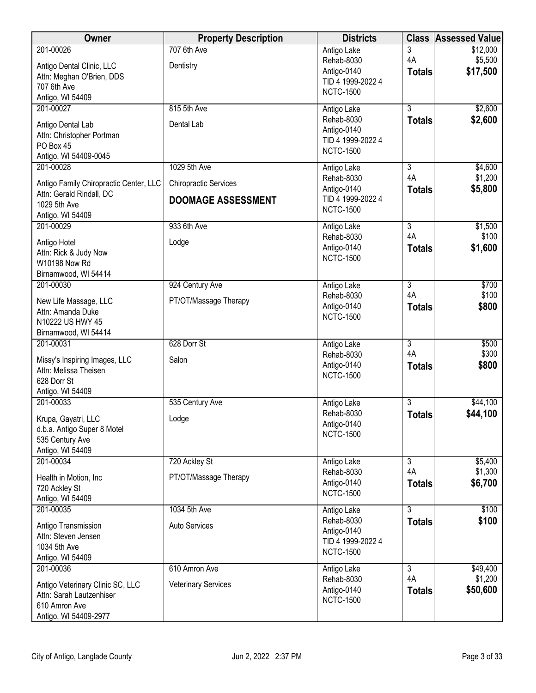| Owner                                                                                                               | <b>Property Description</b>                                               | <b>Districts</b>                                                                  | <b>Class</b>                          | <b>Assessed Value</b>           |
|---------------------------------------------------------------------------------------------------------------------|---------------------------------------------------------------------------|-----------------------------------------------------------------------------------|---------------------------------------|---------------------------------|
| 201-00026<br>Antigo Dental Clinic, LLC<br>Attn: Meghan O'Brien, DDS<br>707 6th Ave<br>Antigo, WI 54409              | 707 6th Ave<br>Dentistry                                                  | Antigo Lake<br>Rehab-8030<br>Antigo-0140<br>TID 4 1999-2022 4<br><b>NCTC-1500</b> | 3<br>4A<br><b>Totals</b>              | \$12,000<br>\$5,500<br>\$17,500 |
| 201-00027<br>Antigo Dental Lab<br>Attn: Christopher Portman<br>PO Box 45<br>Antigo, WI 54409-0045                   | 815 5th Ave<br>Dental Lab                                                 | Antigo Lake<br>Rehab-8030<br>Antigo-0140<br>TID 4 1999-2022 4<br><b>NCTC-1500</b> | $\overline{3}$<br><b>Totals</b>       | \$2,600<br>\$2,600              |
| 201-00028<br>Antigo Family Chiropractic Center, LLC<br>Attn: Gerald Rindall, DC<br>1029 5th Ave<br>Antigo, WI 54409 | 1029 5th Ave<br><b>Chiropractic Services</b><br><b>DOOMAGE ASSESSMENT</b> | Antigo Lake<br>Rehab-8030<br>Antigo-0140<br>TID 4 1999-2022 4<br><b>NCTC-1500</b> | 3<br>4A<br><b>Totals</b>              | \$4,600<br>\$1,200<br>\$5,800   |
| 201-00029<br>Antigo Hotel<br>Attn: Rick & Judy Now<br>W10198 Now Rd<br>Birnamwood, WI 54414                         | 933 6th Ave<br>Lodge                                                      | Antigo Lake<br>Rehab-8030<br>Antigo-0140<br><b>NCTC-1500</b>                      | $\overline{3}$<br>4A<br><b>Totals</b> | \$1,500<br>\$100<br>\$1,600     |
| 201-00030<br>New Life Massage, LLC<br>Attn: Amanda Duke<br>N10222 US HWY 45<br>Birnamwood, WI 54414                 | 924 Century Ave<br>PT/OT/Massage Therapy                                  | Antigo Lake<br>Rehab-8030<br>Antigo-0140<br><b>NCTC-1500</b>                      | $\overline{3}$<br>4A<br><b>Totals</b> | \$700<br>\$100<br>\$800         |
| 201-00031<br>Missy's Inspiring Images, LLC<br>Attn: Melissa Theisen<br>628 Dorr St<br>Antigo, WI 54409              | 628 Dorr St<br>Salon                                                      | Antigo Lake<br>Rehab-8030<br>Antigo-0140<br><b>NCTC-1500</b>                      | $\overline{3}$<br>4A<br><b>Totals</b> | \$500<br>\$300<br>\$800         |
| 201-00033<br>Krupa, Gayatri, LLC<br>d.b.a. Antigo Super 8 Motel<br>535 Century Ave<br>Antigo, WI 54409              | 535 Century Ave<br>Lodge                                                  | Antigo Lake<br>Rehab-8030<br>Antigo-0140<br><b>NCTC-1500</b>                      | $\overline{3}$<br><b>Totals</b>       | \$44,100<br>\$44,100            |
| 201-00034<br>Health in Motion, Inc<br>720 Ackley St<br>Antigo, WI 54409                                             | 720 Ackley St<br>PT/OT/Massage Therapy                                    | Antigo Lake<br>Rehab-8030<br>Antigo-0140<br><b>NCTC-1500</b>                      | $\overline{3}$<br>4A<br><b>Totals</b> | \$5,400<br>\$1,300<br>\$6,700   |
| 201-00035<br>Antigo Transmission<br>Attn: Steven Jensen<br>1034 5th Ave<br>Antigo, WI 54409                         | 1034 5th Ave<br>Auto Services                                             | Antigo Lake<br>Rehab-8030<br>Antigo-0140<br>TID 4 1999-2022 4<br><b>NCTC-1500</b> | 3<br><b>Totals</b>                    | \$100<br>\$100                  |
| 201-00036<br>Antigo Veterinary Clinic SC, LLC<br>Attn: Sarah Lautzenhiser<br>610 Amron Ave<br>Antigo, WI 54409-2977 | 610 Amron Ave<br><b>Veterinary Services</b>                               | Antigo Lake<br>Rehab-8030<br>Antigo-0140<br><b>NCTC-1500</b>                      | $\overline{3}$<br>4A<br><b>Totals</b> | \$49,400<br>\$1,200<br>\$50,600 |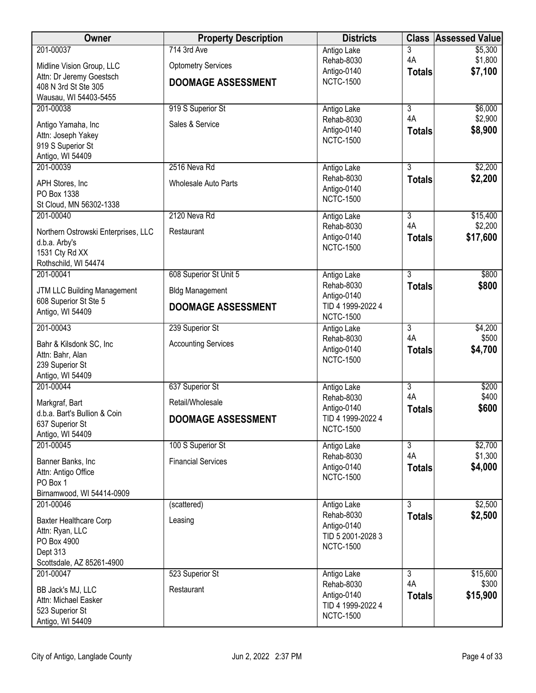| Owner                                                       | <b>Property Description</b> | <b>Districts</b>                      | <b>Class</b>         | <b>Assessed Value</b> |
|-------------------------------------------------------------|-----------------------------|---------------------------------------|----------------------|-----------------------|
| 201-00037                                                   | 714 3rd Ave                 | Antigo Lake                           | 3                    | \$5,300               |
| Midline Vision Group, LLC                                   | <b>Optometry Services</b>   | Rehab-8030<br>Antigo-0140             | 4A                   | \$1,800<br>\$7,100    |
| Attn: Dr Jeremy Goestsch                                    | <b>DOOMAGE ASSESSMENT</b>   | <b>NCTC-1500</b>                      | <b>Totals</b>        |                       |
| 408 N 3rd St Ste 305<br>Wausau, WI 54403-5455               |                             |                                       |                      |                       |
| 201-00038                                                   | 919 S Superior St           | Antigo Lake                           | $\overline{3}$       | \$6,000               |
| Antigo Yamaha, Inc                                          | Sales & Service             | Rehab-8030                            | 4A                   | \$2,900               |
| Attn: Joseph Yakey                                          |                             | Antigo-0140<br><b>NCTC-1500</b>       | <b>Totals</b>        | \$8,900               |
| 919 S Superior St                                           |                             |                                       |                      |                       |
| Antigo, WI 54409<br>201-00039                               | 2516 Neva Rd                |                                       | 3                    | \$2,200               |
|                                                             |                             | Antigo Lake<br>Rehab-8030             | <b>Totals</b>        | \$2,200               |
| APH Stores, Inc.<br>PO Box 1338                             | Wholesale Auto Parts        | Antigo-0140                           |                      |                       |
| St Cloud, MN 56302-1338                                     |                             | <b>NCTC-1500</b>                      |                      |                       |
| 201-00040                                                   | 2120 Neva Rd                | Antigo Lake                           | $\overline{3}$       | \$15,400              |
| Northern Ostrowski Enterprises, LLC                         | Restaurant                  | Rehab-8030                            | 4A                   | \$2,200               |
| d.b.a. Arby's                                               |                             | Antigo-0140<br><b>NCTC-1500</b>       | <b>Totals</b>        | \$17,600              |
| 1531 Cty Rd XX                                              |                             |                                       |                      |                       |
| Rothschild, WI 54474<br>201-00041                           | 608 Superior St Unit 5      | Antigo Lake                           | $\overline{3}$       | \$800                 |
|                                                             |                             | Rehab-8030                            | <b>Totals</b>        | \$800                 |
| <b>JTM LLC Building Management</b><br>608 Superior St Ste 5 | <b>Bldg Management</b>      | Antigo-0140                           |                      |                       |
| Antigo, WI 54409                                            | <b>DOOMAGE ASSESSMENT</b>   | TID 4 1999-2022 4<br><b>NCTC-1500</b> |                      |                       |
| 201-00043                                                   | 239 Superior St             | Antigo Lake                           | $\overline{3}$       | \$4,200               |
| Bahr & Kilsdonk SC, Inc                                     | <b>Accounting Services</b>  | Rehab-8030                            | 4A                   | \$500                 |
| Attn: Bahr, Alan                                            |                             | Antigo-0140                           | <b>Totals</b>        | \$4,700               |
| 239 Superior St                                             |                             | <b>NCTC-1500</b>                      |                      |                       |
| Antigo, WI 54409                                            |                             |                                       |                      |                       |
| 201-00044                                                   | 637 Superior St             | Antigo Lake<br>Rehab-8030             | $\overline{3}$<br>4A | \$200<br>\$400        |
| Markgraf, Bart                                              | Retail/Wholesale            | Antigo-0140                           | <b>Totals</b>        | \$600                 |
| d.b.a. Bart's Bullion & Coin<br>637 Superior St             | <b>DOOMAGE ASSESSMENT</b>   | TID 4 1999-2022 4                     |                      |                       |
| Antigo, WI 54409                                            |                             | <b>NCTC-1500</b>                      |                      |                       |
| 201-00045                                                   | 100 S Superior St           | Antigo Lake                           | $\overline{3}$       | \$2,700               |
| Banner Banks, Inc                                           | <b>Financial Services</b>   | Rehab-8030<br>Antigo-0140             | 4A                   | \$1,300<br>\$4,000    |
| Attn: Antigo Office                                         |                             | <b>NCTC-1500</b>                      | <b>Totals</b>        |                       |
| PO Box 1<br>Birnamwood, WI 54414-0909                       |                             |                                       |                      |                       |
| 201-00046                                                   | (scattered)                 | Antigo Lake                           | $\overline{3}$       | \$2,500               |
| <b>Baxter Healthcare Corp</b>                               | Leasing                     | Rehab-8030                            | <b>Totals</b>        | \$2,500               |
| Attn: Ryan, LLC                                             |                             | Antigo-0140<br>TID 5 2001-2028 3      |                      |                       |
| PO Box 4900                                                 |                             | <b>NCTC-1500</b>                      |                      |                       |
| Dept 313<br>Scottsdale, AZ 85261-4900                       |                             |                                       |                      |                       |
| 201-00047                                                   | 523 Superior St             | Antigo Lake                           | 3                    | \$15,600              |
| BB Jack's MJ, LLC                                           | Restaurant                  | Rehab-8030                            | 4A                   | \$300                 |
| Attn: Michael Easker                                        |                             | Antigo-0140                           | <b>Totals</b>        | \$15,900              |
| 523 Superior St                                             |                             | TID 4 1999-2022 4<br><b>NCTC-1500</b> |                      |                       |
| Antigo, WI 54409                                            |                             |                                       |                      |                       |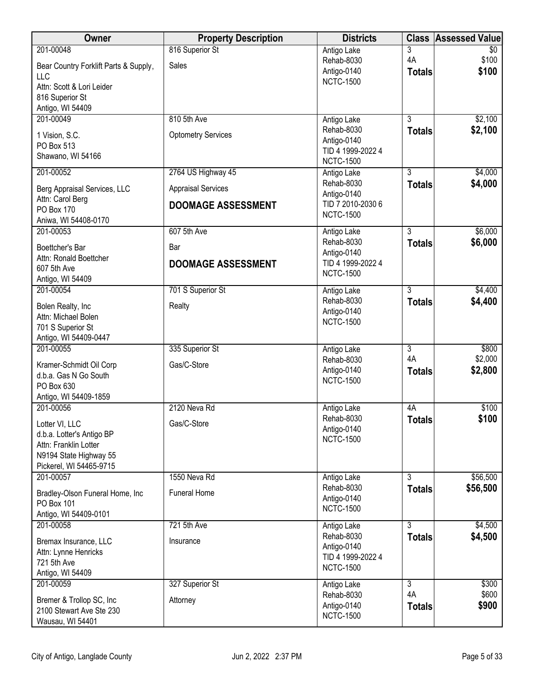| Owner                                             | <b>Property Description</b> | <b>Districts</b>                 |                      | <b>Class Assessed Value</b> |
|---------------------------------------------------|-----------------------------|----------------------------------|----------------------|-----------------------------|
| 201-00048                                         | 816 Superior St             | Antigo Lake                      | 3                    | \$0                         |
| Bear Country Forklift Parts & Supply,             | Sales                       | Rehab-8030<br>Antigo-0140        | 4A<br><b>Totals</b>  | \$100<br>\$100              |
| <b>LLC</b>                                        |                             | <b>NCTC-1500</b>                 |                      |                             |
| Attn: Scott & Lori Leider<br>816 Superior St      |                             |                                  |                      |                             |
| Antigo, WI 54409                                  |                             |                                  |                      |                             |
| 201-00049                                         | 810 5th Ave                 | Antigo Lake                      | $\overline{3}$       | \$2,100                     |
| 1 Vision, S.C.                                    | <b>Optometry Services</b>   | Rehab-8030                       | <b>Totals</b>        | \$2,100                     |
| PO Box 513                                        |                             | Antigo-0140<br>TID 4 1999-2022 4 |                      |                             |
| Shawano, WI 54166                                 |                             | <b>NCTC-1500</b>                 |                      |                             |
| 201-00052                                         | 2764 US Highway 45          | Antigo Lake                      | $\overline{3}$       | \$4,000                     |
| Berg Appraisal Services, LLC                      | <b>Appraisal Services</b>   | Rehab-8030<br>Antigo-0140        | <b>Totals</b>        | \$4,000                     |
| Attn: Carol Berg<br>PO Box 170                    | <b>DOOMAGE ASSESSMENT</b>   | TID 7 2010-2030 6                |                      |                             |
| Aniwa, WI 54408-0170                              |                             | <b>NCTC-1500</b>                 |                      |                             |
| 201-00053                                         | 607 5th Ave                 | Antigo Lake                      | $\overline{3}$       | \$6,000                     |
| Boettcher's Bar                                   | Bar                         | Rehab-8030                       | <b>Totals</b>        | \$6,000                     |
| Attn: Ronald Boettcher                            | <b>DOOMAGE ASSESSMENT</b>   | Antigo-0140<br>TID 4 1999-2022 4 |                      |                             |
| 607 5th Ave<br>Antigo, WI 54409                   |                             | <b>NCTC-1500</b>                 |                      |                             |
| 201-00054                                         | 701 S Superior St           | Antigo Lake                      | $\overline{3}$       | \$4,400                     |
|                                                   | Realty                      | Rehab-8030                       | <b>Totals</b>        | \$4,400                     |
| Bolen Realty, Inc<br>Attn: Michael Bolen          |                             | Antigo-0140                      |                      |                             |
| 701 S Superior St                                 |                             | <b>NCTC-1500</b>                 |                      |                             |
| Antigo, WI 54409-0447                             |                             |                                  |                      |                             |
| 201-00055                                         | 335 Superior St             | Antigo Lake<br>Rehab-8030        | $\overline{3}$<br>4A | \$800<br>\$2,000            |
| Kramer-Schmidt Oil Corp                           | Gas/C-Store                 | Antigo-0140                      | <b>Totals</b>        | \$2,800                     |
| d.b.a. Gas N Go South<br>PO Box 630               |                             | <b>NCTC-1500</b>                 |                      |                             |
| Antigo, WI 54409-1859                             |                             |                                  |                      |                             |
| 201-00056                                         | 2120 Neva Rd                | Antigo Lake                      | 4A                   | \$100                       |
| Lotter VI, LLC                                    | Gas/C-Store                 | Rehab-8030                       | <b>Totals</b>        | \$100                       |
| d.b.a. Lotter's Antigo BP                         |                             | Antigo-0140<br><b>NCTC-1500</b>  |                      |                             |
| Attn: Franklin Lotter                             |                             |                                  |                      |                             |
| N9194 State Highway 55<br>Pickerel, WI 54465-9715 |                             |                                  |                      |                             |
| 201-00057                                         | 1550 Neva Rd                | Antigo Lake                      | $\overline{3}$       | \$56,500                    |
| Bradley-Olson Funeral Home, Inc                   | <b>Funeral Home</b>         | Rehab-8030                       | <b>Totals</b>        | \$56,500                    |
| PO Box 101                                        |                             | Antigo-0140<br><b>NCTC-1500</b>  |                      |                             |
| Antigo, WI 54409-0101                             |                             |                                  |                      |                             |
| 201-00058                                         | 721 5th Ave                 | Antigo Lake<br>Rehab-8030        | $\overline{3}$       | \$4,500<br>\$4,500          |
| Bremax Insurance, LLC                             | Insurance                   | Antigo-0140                      | <b>Totals</b>        |                             |
| Attn: Lynne Henricks<br>721 5th Ave               |                             | TID 4 1999-2022 4                |                      |                             |
| Antigo, WI 54409                                  |                             | <b>NCTC-1500</b>                 |                      |                             |
| 201-00059                                         | 327 Superior St             | Antigo Lake                      | $\overline{3}$       | \$300                       |
| Bremer & Trollop SC, Inc                          | Attorney                    | Rehab-8030                       | 4A                   | \$600                       |
| 2100 Stewart Ave Ste 230                          |                             | Antigo-0140<br><b>NCTC-1500</b>  | <b>Totals</b>        | \$900                       |
| Wausau, WI 54401                                  |                             |                                  |                      |                             |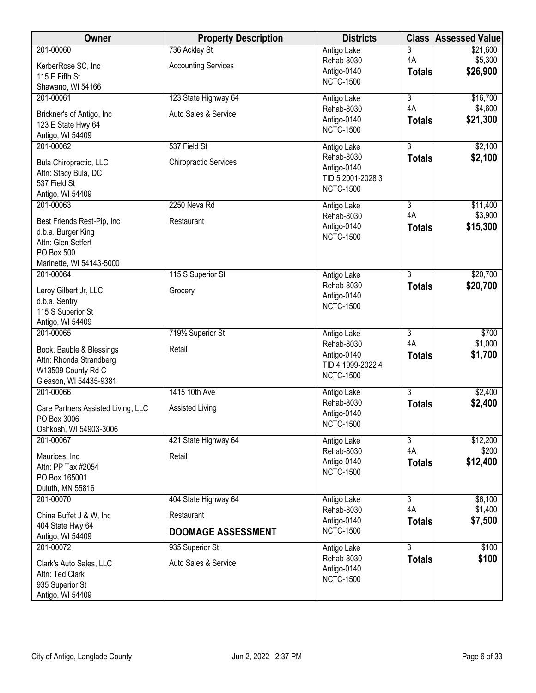| Owner                                                                                                                         | <b>Property Description</b>                                     | <b>Districts</b>                                                                  | <b>Class</b>                          | <b>Assessed Value</b>           |
|-------------------------------------------------------------------------------------------------------------------------------|-----------------------------------------------------------------|-----------------------------------------------------------------------------------|---------------------------------------|---------------------------------|
| 201-00060<br>KerberRose SC, Inc<br>115 E Fifth St<br>Shawano, WI 54166                                                        | 736 Ackley St<br><b>Accounting Services</b>                     | Antigo Lake<br>Rehab-8030<br>Antigo-0140<br><b>NCTC-1500</b>                      | 3<br>4A<br><b>Totals</b>              | \$21,600<br>\$5,300<br>\$26,900 |
| 201-00061<br>Brickner's of Antigo, Inc<br>123 E State Hwy 64<br>Antigo, WI 54409                                              | 123 State Highway 64<br>Auto Sales & Service                    | Antigo Lake<br>Rehab-8030<br>Antigo-0140<br><b>NCTC-1500</b>                      | 3<br>4A<br><b>Totals</b>              | \$16,700<br>\$4,600<br>\$21,300 |
| 201-00062<br>Bula Chiropractic, LLC<br>Attn: Stacy Bula, DC<br>537 Field St<br>Antigo, WI 54409                               | 537 Field St<br><b>Chiropractic Services</b>                    | Antigo Lake<br>Rehab-8030<br>Antigo-0140<br>TID 5 2001-2028 3<br><b>NCTC-1500</b> | $\overline{3}$<br><b>Totals</b>       | \$2,100<br>\$2,100              |
| 201-00063<br>Best Friends Rest-Pip, Inc<br>d.b.a. Burger King<br>Attn: Glen Setfert<br>PO Box 500<br>Marinette, WI 54143-5000 | 2250 Neva Rd<br>Restaurant                                      | Antigo Lake<br>Rehab-8030<br>Antigo-0140<br><b>NCTC-1500</b>                      | 3<br>4A<br><b>Totals</b>              | \$11,400<br>\$3,900<br>\$15,300 |
| 201-00064<br>Leroy Gilbert Jr, LLC<br>d.b.a. Sentry<br>115 S Superior St<br>Antigo, WI 54409                                  | 115 S Superior St<br>Grocery                                    | Antigo Lake<br>Rehab-8030<br>Antigo-0140<br><b>NCTC-1500</b>                      | $\overline{3}$<br><b>Totals</b>       | \$20,700<br>\$20,700            |
| 201-00065<br>Book, Bauble & Blessings<br>Attn: Rhonda Strandberg<br>W13509 County Rd C<br>Gleason, WI 54435-9381              | 7191/2 Superior St<br>Retail                                    | Antigo Lake<br>Rehab-8030<br>Antigo-0140<br>TID 4 1999-2022 4<br><b>NCTC-1500</b> | $\overline{3}$<br>4A<br><b>Totals</b> | \$700<br>\$1,000<br>\$1,700     |
| 201-00066<br>Care Partners Assisted Living, LLC<br>PO Box 3006<br>Oshkosh, WI 54903-3006                                      | 1415 10th Ave<br>Assisted Living                                | Antigo Lake<br>Rehab-8030<br>Antigo-0140<br><b>NCTC-1500</b>                      | $\overline{3}$<br><b>Totals</b>       | \$2,400<br>\$2,400              |
| 201-00067<br>Maurices, Inc<br>Attn: PP Tax #2054<br>PO Box 165001<br>Duluth, MN 55816                                         | 421 State Highway 64<br>Retail                                  | Antigo Lake<br>Rehab-8030<br>Antigo-0140<br><b>NCTC-1500</b>                      | $\overline{3}$<br>4A<br><b>Totals</b> | \$12,200<br>\$200<br>\$12,400   |
| 201-00070<br>China Buffet J & W, Inc.<br>404 State Hwy 64<br>Antigo, WI 54409                                                 | 404 State Highway 64<br>Restaurant<br><b>DOOMAGE ASSESSMENT</b> | Antigo Lake<br>Rehab-8030<br>Antigo-0140<br><b>NCTC-1500</b>                      | $\overline{3}$<br>4A<br><b>Totals</b> | \$6,100<br>\$1,400<br>\$7,500   |
| 201-00072<br>Clark's Auto Sales, LLC<br>Attn: Ted Clark<br>935 Superior St<br>Antigo, WI 54409                                | 935 Superior St<br>Auto Sales & Service                         | Antigo Lake<br>Rehab-8030<br>Antigo-0140<br><b>NCTC-1500</b>                      | $\overline{3}$<br><b>Totals</b>       | \$100<br>\$100                  |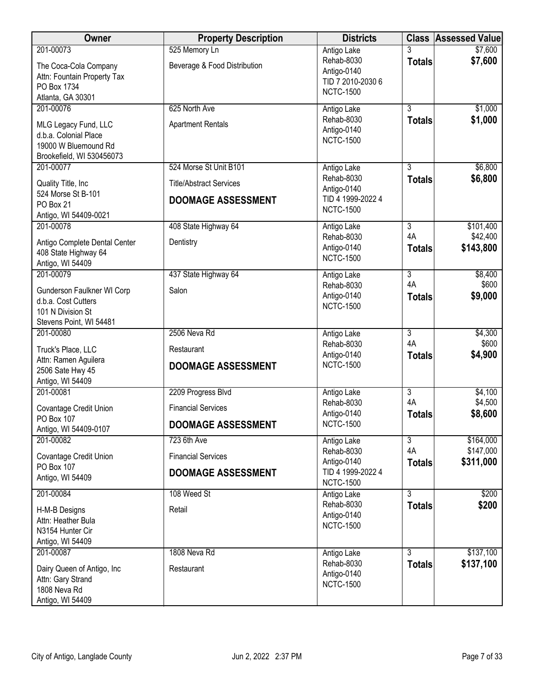| Owner                                             | <b>Property Description</b>                   | <b>Districts</b>                      | <b>Class</b>         | <b>Assessed Value</b>  |
|---------------------------------------------------|-----------------------------------------------|---------------------------------------|----------------------|------------------------|
| 201-00073<br>The Coca-Cola Company                | 525 Memory Ln<br>Beverage & Food Distribution | Antigo Lake<br>Rehab-8030             | 3<br><b>Totals</b>   | \$7,600<br>\$7,600     |
| Attn: Fountain Property Tax                       |                                               | Antigo-0140                           |                      |                        |
| PO Box 1734                                       |                                               | TID 7 2010-2030 6<br><b>NCTC-1500</b> |                      |                        |
| Atlanta, GA 30301                                 |                                               |                                       |                      |                        |
| 201-00076                                         | 625 North Ave                                 | Antigo Lake                           | $\overline{3}$       | \$1,000                |
| MLG Legacy Fund, LLC                              | <b>Apartment Rentals</b>                      | Rehab-8030<br>Antigo-0140             | <b>Totals</b>        | \$1,000                |
| d.b.a. Colonial Place                             |                                               | <b>NCTC-1500</b>                      |                      |                        |
| 19000 W Bluemound Rd<br>Brookefield, WI 530456073 |                                               |                                       |                      |                        |
| 201-00077                                         | 524 Morse St Unit B101                        | Antigo Lake                           | $\overline{3}$       | \$6,800                |
| Quality Title, Inc                                | <b>Title/Abstract Services</b>                | Rehab-8030<br>Antigo-0140             | <b>Totals</b>        | \$6,800                |
| 524 Morse St B-101                                | <b>DOOMAGE ASSESSMENT</b>                     | TID 4 1999-2022 4                     |                      |                        |
| PO Box 21<br>Antigo, WI 54409-0021                |                                               | <b>NCTC-1500</b>                      |                      |                        |
| 201-00078                                         | 408 State Highway 64                          | Antigo Lake                           | 3                    | \$101,400              |
| Antigo Complete Dental Center                     | Dentistry                                     | Rehab-8030                            | 4A                   | \$42,400               |
| 408 State Highway 64                              |                                               | Antigo-0140                           | <b>Totals</b>        | \$143,800              |
| Antigo, WI 54409                                  |                                               | <b>NCTC-1500</b>                      |                      |                        |
| 201-00079                                         | 437 State Highway 64                          | Antigo Lake                           | $\overline{3}$       | \$8,400                |
| Gunderson Faulkner WI Corp                        | Salon                                         | Rehab-8030                            | 4A                   | \$600                  |
| d.b.a. Cost Cutters                               |                                               | Antigo-0140<br><b>NCTC-1500</b>       | <b>Totals</b>        | \$9,000                |
| 101 N Division St<br>Stevens Point, WI 54481      |                                               |                                       |                      |                        |
| 201-00080                                         | 2506 Neva Rd                                  | Antigo Lake                           | $\overline{3}$       | \$4,300                |
| Truck's Place, LLC                                | Restaurant                                    | Rehab-8030                            | 4A                   | \$600                  |
| Attn: Ramen Aguilera                              |                                               | Antigo-0140                           | <b>Totals</b>        | \$4,900                |
| 2506 Sate Hwy 45                                  | <b>DOOMAGE ASSESSMENT</b>                     | <b>NCTC-1500</b>                      |                      |                        |
| Antigo, WI 54409                                  |                                               |                                       |                      |                        |
| 201-00081                                         | 2209 Progress Blvd                            | Antigo Lake<br>Rehab-8030             | $\overline{3}$<br>4A | \$4,100<br>\$4,500     |
| Covantage Credit Union                            | <b>Financial Services</b>                     | Antigo-0140                           | <b>Totals</b>        | \$8,600                |
| PO Box 107<br>Antigo, WI 54409-0107               | <b>DOOMAGE ASSESSMENT</b>                     | <b>NCTC-1500</b>                      |                      |                        |
| 201-00082                                         | 723 6th Ave                                   | Antigo Lake                           | $\overline{3}$       | \$164,000              |
| Covantage Credit Union                            | <b>Financial Services</b>                     | Rehab-8030<br>Antigo-0140             | 4A<br><b>Totals</b>  | \$147,000<br>\$311,000 |
| PO Box 107                                        | <b>DOOMAGE ASSESSMENT</b>                     | TID 4 1999-2022 4                     |                      |                        |
| Antigo, WI 54409                                  |                                               | <b>NCTC-1500</b>                      |                      |                        |
| 201-00084                                         | 108 Weed St                                   | Antigo Lake                           | $\overline{3}$       | \$200                  |
| H-M-B Designs                                     | Retail                                        | Rehab-8030<br>Antigo-0140             | <b>Totals</b>        | \$200                  |
| Attn: Heather Bula                                |                                               | <b>NCTC-1500</b>                      |                      |                        |
| N3154 Hunter Cir<br>Antigo, WI 54409              |                                               |                                       |                      |                        |
| 201-00087                                         | 1808 Neva Rd                                  | Antigo Lake                           | $\overline{3}$       | \$137,100              |
|                                                   |                                               | Rehab-8030                            | <b>Totals</b>        | \$137,100              |
| Dairy Queen of Antigo, Inc<br>Attn: Gary Strand   | Restaurant                                    | Antigo-0140                           |                      |                        |
| 1808 Neva Rd                                      |                                               | <b>NCTC-1500</b>                      |                      |                        |
| Antigo, WI 54409                                  |                                               |                                       |                      |                        |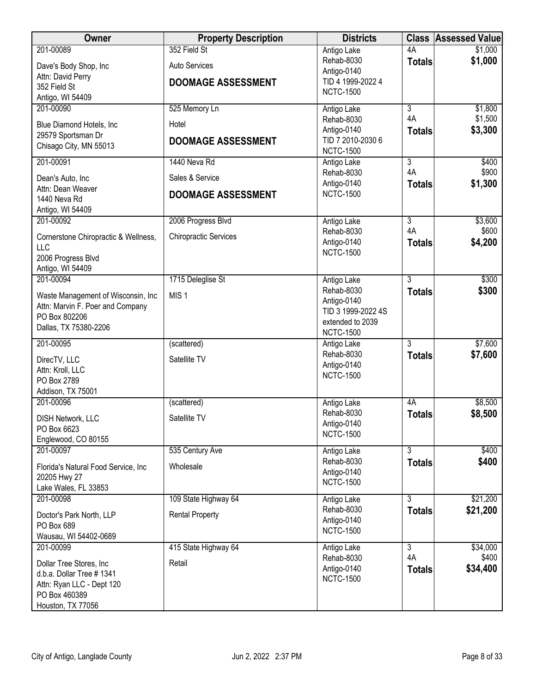| Owner                                | <b>Property Description</b>  | <b>Districts</b>                | <b>Class</b>   | <b>Assessed Value</b> |
|--------------------------------------|------------------------------|---------------------------------|----------------|-----------------------|
| 201-00089                            | 352 Field St                 | Antigo Lake                     | 4A             | \$1,000               |
| Dave's Body Shop, Inc                | Auto Services                | Rehab-8030                      | <b>Totals</b>  | \$1,000               |
| Attn: David Perry                    |                              | Antigo-0140                     |                |                       |
| 352 Field St                         | <b>DOOMAGE ASSESSMENT</b>    | TID 4 1999-2022 4               |                |                       |
| Antigo, WI 54409                     |                              | <b>NCTC-1500</b>                |                |                       |
| 201-00090                            | 525 Memory Ln                | Antigo Lake                     | $\overline{3}$ | \$1,800               |
| Blue Diamond Hotels, Inc             | Hotel                        | Rehab-8030                      | 4A             | \$1,500               |
| 29579 Sportsman Dr                   |                              | Antigo-0140                     | <b>Totals</b>  | \$3,300               |
| Chisago City, MN 55013               | <b>DOOMAGE ASSESSMENT</b>    | TID 7 2010-2030 6               |                |                       |
| 201-00091                            | 1440 Neva Rd                 | <b>NCTC-1500</b>                | $\overline{3}$ | \$400                 |
|                                      |                              | Antigo Lake<br>Rehab-8030       | 4A             | \$900                 |
| Dean's Auto, Inc                     | Sales & Service              | Antigo-0140                     | <b>Totals</b>  | \$1,300               |
| Attn: Dean Weaver                    | <b>DOOMAGE ASSESSMENT</b>    | <b>NCTC-1500</b>                |                |                       |
| 1440 Neva Rd                         |                              |                                 |                |                       |
| Antigo, WI 54409<br>201-00092        | 2006 Progress Blvd           | Antigo Lake                     | $\overline{3}$ | \$3,600               |
|                                      |                              | Rehab-8030                      | 4A             | \$600                 |
| Cornerstone Chiropractic & Wellness, | <b>Chiropractic Services</b> | Antigo-0140                     | <b>Totals</b>  | \$4,200               |
| LLC                                  |                              | <b>NCTC-1500</b>                |                |                       |
| 2006 Progress Blvd                   |                              |                                 |                |                       |
| Antigo, WI 54409<br>201-00094        | 1715 Deleglise St            | Antigo Lake                     | 3              | \$300                 |
|                                      |                              | Rehab-8030                      | <b>Totals</b>  | \$300                 |
| Waste Management of Wisconsin, Inc   | MIS <sub>1</sub>             | Antigo-0140                     |                |                       |
| Attn: Marvin F. Poer and Company     |                              | TID 3 1999-2022 4S              |                |                       |
| PO Box 802206                        |                              | extended to 2039                |                |                       |
| Dallas, TX 75380-2206                |                              | <b>NCTC-1500</b>                |                |                       |
| 201-00095                            | (scattered)                  | Antigo Lake                     | $\overline{3}$ | \$7,600               |
| DirecTV, LLC                         | Satellite TV                 | Rehab-8030                      | <b>Totals</b>  | \$7,600               |
| Attn: Kroll, LLC                     |                              | Antigo-0140<br><b>NCTC-1500</b> |                |                       |
| PO Box 2789                          |                              |                                 |                |                       |
| Addison, TX 75001                    |                              |                                 |                |                       |
| 201-00096                            | (scattered)                  | Antigo Lake                     | 4A             | \$8,500               |
| <b>DISH Network, LLC</b>             | Satellite TV                 | Rehab-8030                      | <b>Totals</b>  | \$8,500               |
| PO Box 6623                          |                              | Antigo-0140<br><b>NCTC-1500</b> |                |                       |
| Englewood, CO 80155                  |                              |                                 |                |                       |
| 201-00097                            | 535 Century Ave              | Antigo Lake                     | $\overline{3}$ | \$400                 |
| Florida's Natural Food Service, Inc. | Wholesale                    | Rehab-8030                      | <b>Totals</b>  | \$400                 |
| 20205 Hwy 27                         |                              | Antigo-0140                     |                |                       |
| Lake Wales, FL 33853                 |                              | <b>NCTC-1500</b>                |                |                       |
| 201-00098                            | 109 State Highway 64         | Antigo Lake                     | $\overline{3}$ | \$21,200              |
| Doctor's Park North, LLP             | <b>Rental Property</b>       | Rehab-8030                      | <b>Totals</b>  | \$21,200              |
| PO Box 689                           |                              | Antigo-0140                     |                |                       |
| Wausau, WI 54402-0689                |                              | <b>NCTC-1500</b>                |                |                       |
| 201-00099                            | 415 State Highway 64         | Antigo Lake                     | $\overline{3}$ | \$34,000              |
| Dollar Tree Stores, Inc.             | Retail                       | Rehab-8030                      | 4A             | \$400                 |
| d.b.a. Dollar Tree # 1341            |                              | Antigo-0140                     | <b>Totals</b>  | \$34,400              |
| Attn: Ryan LLC - Dept 120            |                              | <b>NCTC-1500</b>                |                |                       |
| PO Box 460389                        |                              |                                 |                |                       |
| Houston, TX 77056                    |                              |                                 |                |                       |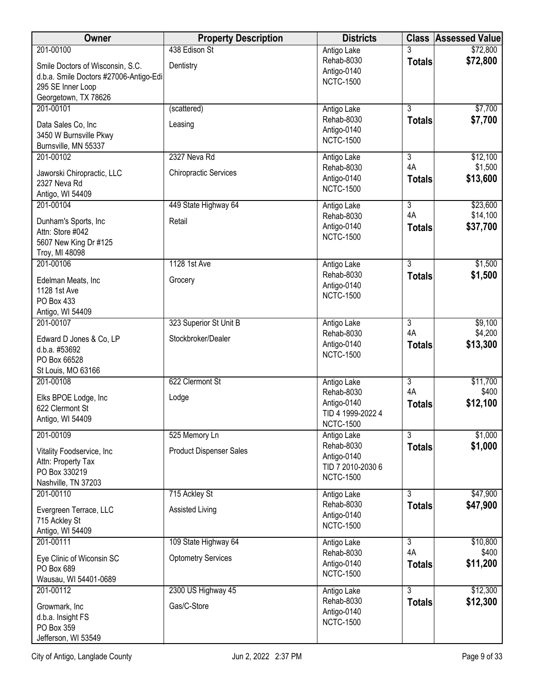| Owner                                                                                                                                | <b>Property Description</b>                       | <b>Districts</b>                                                                  | <b>Class</b>                          | <b>Assessed Value</b>            |
|--------------------------------------------------------------------------------------------------------------------------------------|---------------------------------------------------|-----------------------------------------------------------------------------------|---------------------------------------|----------------------------------|
| 201-00100<br>Smile Doctors of Wisconsin, S.C.<br>d.b.a. Smile Doctors #27006-Antigo-Edi<br>295 SE Inner Loop<br>Georgetown, TX 78626 | 438 Edison St<br>Dentistry                        | Antigo Lake<br>Rehab-8030<br>Antigo-0140<br><b>NCTC-1500</b>                      | 3<br><b>Totals</b>                    | \$72,800<br>\$72,800             |
| 201-00101<br>Data Sales Co, Inc<br>3450 W Burnsville Pkwy<br>Burnsville, MN 55337                                                    | (scattered)<br>Leasing                            | Antigo Lake<br>Rehab-8030<br>Antigo-0140<br><b>NCTC-1500</b>                      | $\overline{3}$<br><b>Totals</b>       | \$7,700<br>\$7,700               |
| 201-00102<br>Jaworski Chiropractic, LLC<br>2327 Neva Rd<br>Antigo, WI 54409                                                          | 2327 Neva Rd<br><b>Chiropractic Services</b>      | Antigo Lake<br>Rehab-8030<br>Antigo-0140<br><b>NCTC-1500</b>                      | $\overline{3}$<br>4A<br><b>Totals</b> | \$12,100<br>\$1,500<br>\$13,600  |
| 201-00104<br>Dunham's Sports, Inc<br>Attn: Store #042<br>5607 New King Dr #125<br>Troy, MI 48098                                     | 449 State Highway 64<br>Retail                    | Antigo Lake<br>Rehab-8030<br>Antigo-0140<br><b>NCTC-1500</b>                      | $\overline{3}$<br>4A<br><b>Totals</b> | \$23,600<br>\$14,100<br>\$37,700 |
| 201-00106<br>Edelman Meats, Inc<br>1128 1st Ave<br>PO Box 433<br>Antigo, WI 54409                                                    | 1128 1st Ave<br>Grocery                           | Antigo Lake<br>Rehab-8030<br>Antigo-0140<br><b>NCTC-1500</b>                      | $\overline{3}$<br><b>Totals</b>       | \$1,500<br>\$1,500               |
| 201-00107<br>Edward D Jones & Co, LP<br>d.b.a. #53692<br>PO Box 66528<br>St Louis, MO 63166                                          | 323 Superior St Unit B<br>Stockbroker/Dealer      | Antigo Lake<br>Rehab-8030<br>Antigo-0140<br><b>NCTC-1500</b>                      | $\overline{3}$<br>4A<br><b>Totals</b> | \$9,100<br>\$4,200<br>\$13,300   |
| 201-00108<br>Elks BPOE Lodge, Inc<br>622 Clermont St<br>Antigo, WI 54409                                                             | 622 Clermont St<br>Lodge                          | Antigo Lake<br>Rehab-8030<br>Antigo-0140<br>TID 4 1999-2022 4<br><b>NCTC-1500</b> | $\overline{3}$<br>4A<br><b>Totals</b> | \$11,700<br>\$400<br>\$12,100    |
| 201-00109<br>Vitality Foodservice, Inc<br>Attn: Property Tax<br>PO Box 330219<br>Nashville, TN 37203                                 | 525 Memory Ln<br><b>Product Dispenser Sales</b>   | Antigo Lake<br>Rehab-8030<br>Antigo-0140<br>TID 7 2010-2030 6<br><b>NCTC-1500</b> | $\overline{3}$<br><b>Totals</b>       | \$1,000<br>\$1,000               |
| 201-00110<br>Evergreen Terrace, LLC<br>715 Ackley St<br>Antigo, WI 54409                                                             | 715 Ackley St<br><b>Assisted Living</b>           | Antigo Lake<br>Rehab-8030<br>Antigo-0140<br><b>NCTC-1500</b>                      | $\overline{3}$<br><b>Totals</b>       | \$47,900<br>\$47,900             |
| 201-00111<br>Eye Clinic of Wiconsin SC<br>PO Box 689<br>Wausau, WI 54401-0689                                                        | 109 State Highway 64<br><b>Optometry Services</b> | Antigo Lake<br>Rehab-8030<br>Antigo-0140<br><b>NCTC-1500</b>                      | $\overline{3}$<br>4A<br><b>Totals</b> | \$10,800<br>\$400<br>\$11,200    |
| 201-00112<br>Growmark, Inc<br>d.b.a. Insight FS<br>PO Box 359<br>Jefferson, WI 53549                                                 | 2300 US Highway 45<br>Gas/C-Store                 | Antigo Lake<br>Rehab-8030<br>Antigo-0140<br><b>NCTC-1500</b>                      | $\overline{3}$<br><b>Totals</b>       | \$12,300<br>\$12,300             |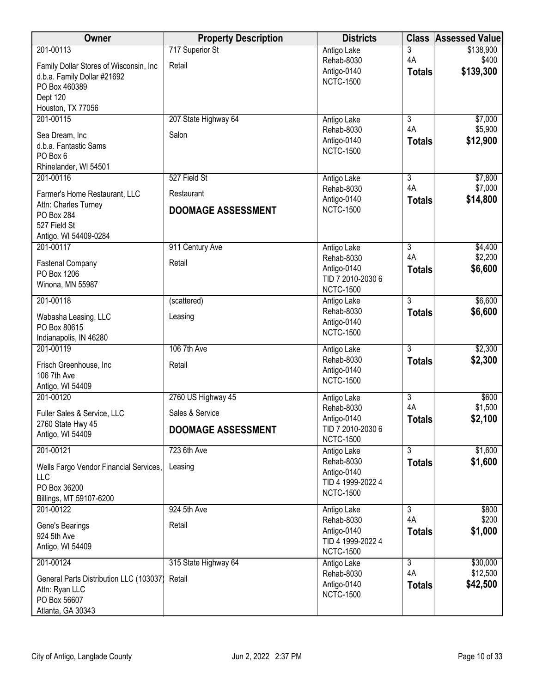| Owner                                            | <b>Property Description</b> | <b>Districts</b>                      | <b>Class</b>        | <b>Assessed Value</b> |
|--------------------------------------------------|-----------------------------|---------------------------------------|---------------------|-----------------------|
| 201-00113                                        | 717 Superior St             | Antigo Lake                           | 3                   | \$138,900             |
| Family Dollar Stores of Wisconsin, Inc           | Retail                      | Rehab-8030                            | 4A                  | \$400                 |
| d.b.a. Family Dollar #21692                      |                             | Antigo-0140<br><b>NCTC-1500</b>       | <b>Totals</b>       | \$139,300             |
| PO Box 460389                                    |                             |                                       |                     |                       |
| Dept 120<br>Houston, TX 77056                    |                             |                                       |                     |                       |
| 201-00115                                        | 207 State Highway 64        | Antigo Lake                           | $\overline{3}$      | \$7,000               |
|                                                  | Salon                       | Rehab-8030                            | 4A                  | \$5,900               |
| Sea Dream, Inc<br>d.b.a. Fantastic Sams          |                             | Antigo-0140                           | <b>Totals</b>       | \$12,900              |
| PO Box 6                                         |                             | <b>NCTC-1500</b>                      |                     |                       |
| Rhinelander, WI 54501                            |                             |                                       |                     |                       |
| 201-00116                                        | 527 Field St                | Antigo Lake                           | 3                   | \$7,800               |
| Farmer's Home Restaurant, LLC                    | Restaurant                  | Rehab-8030<br>Antigo-0140             | 4A<br><b>Totals</b> | \$7,000<br>\$14,800   |
| Attn: Charles Turney                             | <b>DOOMAGE ASSESSMENT</b>   | <b>NCTC-1500</b>                      |                     |                       |
| PO Box 284<br>527 Field St                       |                             |                                       |                     |                       |
| Antigo, WI 54409-0284                            |                             |                                       |                     |                       |
| 201-00117                                        | 911 Century Ave             | Antigo Lake                           | $\overline{3}$      | \$4,400               |
| <b>Fastenal Company</b>                          | Retail                      | Rehab-8030                            | 4A                  | \$2,200               |
| PO Box 1206                                      |                             | Antigo-0140                           | <b>Totals</b>       | \$6,600               |
| Winona, MN 55987                                 |                             | TID 7 2010-2030 6<br><b>NCTC-1500</b> |                     |                       |
| 201-00118                                        | (scattered)                 | Antigo Lake                           | 3                   | \$6,600               |
| Wabasha Leasing, LLC                             | Leasing                     | Rehab-8030                            | <b>Totals</b>       | \$6,600               |
| PO Box 80615                                     |                             | Antigo-0140                           |                     |                       |
| Indianapolis, IN 46280                           |                             | <b>NCTC-1500</b>                      |                     |                       |
| 201-00119                                        | 106 7th Ave                 | Antigo Lake                           | $\overline{3}$      | \$2,300               |
| Frisch Greenhouse, Inc                           | Retail                      | Rehab-8030<br>Antigo-0140             | <b>Totals</b>       | \$2,300               |
| 106 7th Ave                                      |                             | <b>NCTC-1500</b>                      |                     |                       |
| Antigo, WI 54409<br>201-00120                    | 2760 US Highway 45          | Antigo Lake                           | $\overline{3}$      | \$600                 |
|                                                  |                             | Rehab-8030                            | 4A                  | \$1,500               |
| Fuller Sales & Service, LLC<br>2760 State Hwy 45 | Sales & Service             | Antigo-0140                           | <b>Totals</b>       | \$2,100               |
| Antigo, WI 54409                                 | <b>DOOMAGE ASSESSMENT</b>   | TID 7 2010-2030 6                     |                     |                       |
| 201-00121                                        | 723 6th Ave                 | <b>NCTC-1500</b>                      | $\overline{3}$      |                       |
|                                                  |                             | Antigo Lake<br>Rehab-8030             | <b>Totals</b>       | \$1,600<br>\$1,600    |
| Wells Fargo Vendor Financial Services,           | Leasing                     | Antigo-0140                           |                     |                       |
| LLC<br>PO Box 36200                              |                             | TID 4 1999-2022 4                     |                     |                       |
| Billings, MT 59107-6200                          |                             | <b>NCTC-1500</b>                      |                     |                       |
| 201-00122                                        | 924 5th Ave                 | Antigo Lake                           | $\overline{3}$      | \$800                 |
| Gene's Bearings                                  | Retail                      | Rehab-8030                            | 4A                  | \$200                 |
| 924 5th Ave                                      |                             | Antigo-0140<br>TID 4 1999-2022 4      | <b>Totals</b>       | \$1,000               |
| Antigo, WI 54409                                 |                             | <b>NCTC-1500</b>                      |                     |                       |
| 201-00124                                        | 315 State Highway 64        | Antigo Lake                           | $\overline{3}$      | \$30,000              |
| General Parts Distribution LLC (103037)          | Retail                      | Rehab-8030                            | 4A                  | \$12,500              |
| Attn: Ryan LLC                                   |                             | Antigo-0140<br><b>NCTC-1500</b>       | <b>Totals</b>       | \$42,500              |
| PO Box 56607                                     |                             |                                       |                     |                       |
| Atlanta, GA 30343                                |                             |                                       |                     |                       |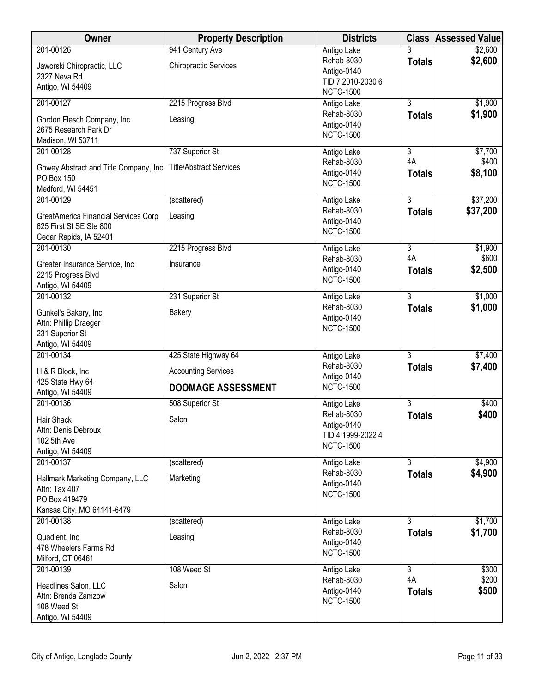| Owner                                                                                                        | <b>Property Description</b>                                                     | <b>Districts</b>                                                                  | <b>Class</b>                          | <b>Assessed Value</b>       |
|--------------------------------------------------------------------------------------------------------------|---------------------------------------------------------------------------------|-----------------------------------------------------------------------------------|---------------------------------------|-----------------------------|
| 201-00126<br>Jaworski Chiropractic, LLC<br>2327 Neva Rd<br>Antigo, WI 54409                                  | 941 Century Ave<br><b>Chiropractic Services</b>                                 | Antigo Lake<br>Rehab-8030<br>Antigo-0140<br>TID 7 2010-2030 6<br><b>NCTC-1500</b> | 3<br><b>Totals</b>                    | \$2,600<br>\$2,600          |
| 201-00127<br>Gordon Flesch Company, Inc.<br>2675 Research Park Dr<br>Madison, WI 53711                       | 2215 Progress Blvd<br>Leasing                                                   | Antigo Lake<br>Rehab-8030<br>Antigo-0140<br><b>NCTC-1500</b>                      | 3<br><b>Totals</b>                    | \$1,900<br>\$1,900          |
| 201-00128<br>Gowey Abstract and Title Company, Inc<br>PO Box 150<br>Medford, WI 54451                        | 737 Superior St<br><b>Title/Abstract Services</b>                               | Antigo Lake<br>Rehab-8030<br>Antigo-0140<br><b>NCTC-1500</b>                      | $\overline{3}$<br>4A<br><b>Totals</b> | \$7,700<br>\$400<br>\$8,100 |
| 201-00129<br>GreatAmerica Financial Services Corp<br>625 First St SE Ste 800<br>Cedar Rapids, IA 52401       | (scattered)<br>Leasing                                                          | Antigo Lake<br>Rehab-8030<br>Antigo-0140<br><b>NCTC-1500</b>                      | 3<br><b>Totals</b>                    | \$37,200<br>\$37,200        |
| 201-00130<br>Greater Insurance Service, Inc<br>2215 Progress Blvd<br>Antigo, WI 54409                        | 2215 Progress Blvd<br>Insurance                                                 | Antigo Lake<br>Rehab-8030<br>Antigo-0140<br><b>NCTC-1500</b>                      | $\overline{3}$<br>4A<br><b>Totals</b> | \$1,900<br>\$600<br>\$2,500 |
| 201-00132<br>Gunkel's Bakery, Inc<br>Attn: Phillip Draeger<br>231 Superior St<br>Antigo, WI 54409            | 231 Superior St<br><b>Bakery</b>                                                | Antigo Lake<br>Rehab-8030<br>Antigo-0140<br><b>NCTC-1500</b>                      | $\overline{3}$<br><b>Totals</b>       | \$1,000<br>\$1,000          |
| 201-00134<br>H & R Block, Inc.<br>425 State Hwy 64<br>Antigo, WI 54409                                       | 425 State Highway 64<br><b>Accounting Services</b><br><b>DOOMAGE ASSESSMENT</b> | Antigo Lake<br>Rehab-8030<br>Antigo-0140<br><b>NCTC-1500</b>                      | 3<br><b>Totals</b>                    | \$7,400<br>\$7,400          |
| 201-00136<br>Hair Shack<br>Attn: Denis Debroux<br>102 5th Ave<br>Antigo, WI 54409                            | 508 Superior St<br>Salon                                                        | Antigo Lake<br>Rehab-8030<br>Antigo-0140<br>TID 4 1999-2022 4<br><b>NCTC-1500</b> | $\overline{3}$<br><b>Totals</b>       | \$400<br>\$400              |
| 201-00137<br>Hallmark Marketing Company, LLC<br>Attn: Tax 407<br>PO Box 419479<br>Kansas City, MO 64141-6479 | (scattered)<br>Marketing                                                        | Antigo Lake<br>Rehab-8030<br>Antigo-0140<br><b>NCTC-1500</b>                      | $\overline{3}$<br><b>Totals</b>       | \$4,900<br>\$4,900          |
| 201-00138<br>Quadient, Inc<br>478 Wheelers Farms Rd<br>Milford, CT 06461                                     | (scattered)<br>Leasing                                                          | Antigo Lake<br>Rehab-8030<br>Antigo-0140<br><b>NCTC-1500</b>                      | $\overline{3}$<br><b>Totals</b>       | \$1,700<br>\$1,700          |
| 201-00139<br>Headlines Salon, LLC<br>Attn: Brenda Zamzow<br>108 Weed St<br>Antigo, WI 54409                  | 108 Weed St<br>Salon                                                            | Antigo Lake<br>Rehab-8030<br>Antigo-0140<br><b>NCTC-1500</b>                      | $\overline{3}$<br>4A<br><b>Totals</b> | \$300<br>\$200<br>\$500     |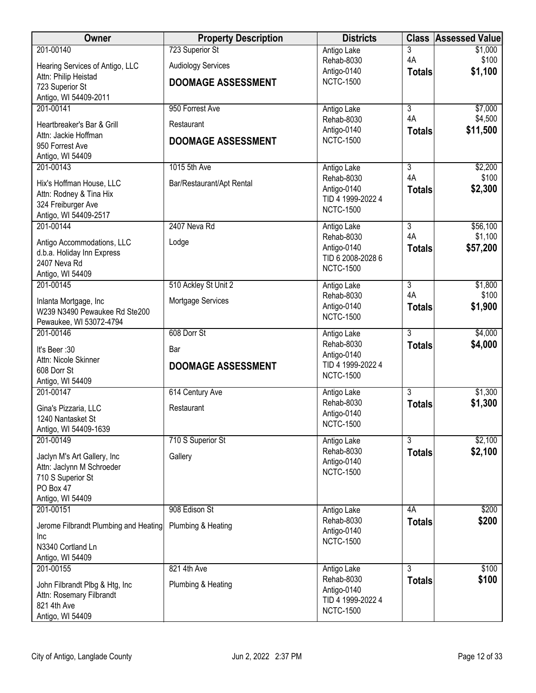| <b>Owner</b>                                           | <b>Property Description</b> | <b>Districts</b>                      | <b>Class</b>         | <b>Assessed Value</b> |
|--------------------------------------------------------|-----------------------------|---------------------------------------|----------------------|-----------------------|
| 201-00140                                              | 723 Superior St             | Antigo Lake                           | 3                    | \$1,000               |
| Hearing Services of Antigo, LLC                        | <b>Audiology Services</b>   | Rehab-8030                            | 4A                   | \$100<br>\$1,100      |
| Attn: Philip Heistad                                   | <b>DOOMAGE ASSESSMENT</b>   | Antigo-0140<br><b>NCTC-1500</b>       | <b>Totals</b>        |                       |
| 723 Superior St                                        |                             |                                       |                      |                       |
| Antigo, WI 54409-2011<br>201-00141                     | 950 Forrest Ave             | Antigo Lake                           | $\overline{3}$       | \$7,000               |
|                                                        |                             | Rehab-8030                            | 4A                   | \$4,500               |
| Heartbreaker's Bar & Grill                             | Restaurant                  | Antigo-0140                           | <b>Totals</b>        | \$11,500              |
| Attn: Jackie Hoffman<br>950 Forrest Ave                | <b>DOOMAGE ASSESSMENT</b>   | <b>NCTC-1500</b>                      |                      |                       |
| Antigo, WI 54409                                       |                             |                                       |                      |                       |
| 201-00143                                              | 1015 5th Ave                | Antigo Lake                           | 3                    | \$2,200               |
| Hix's Hoffman House, LLC                               | Bar/Restaurant/Apt Rental   | Rehab-8030                            | 4A                   | \$100                 |
| Attn: Rodney & Tina Hix                                |                             | Antigo-0140                           | <b>Totals</b>        | \$2,300               |
| 324 Freiburger Ave                                     |                             | TID 4 1999-2022 4<br><b>NCTC-1500</b> |                      |                       |
| Antigo, WI 54409-2517                                  |                             |                                       |                      |                       |
| 201-00144                                              | 2407 Neva Rd                | Antigo Lake<br>Rehab-8030             | $\overline{3}$<br>4A | \$56,100<br>\$1,100   |
| Antigo Accommodations, LLC                             | Lodge                       | Antigo-0140                           | <b>Totals</b>        | \$57,200              |
| d.b.a. Holiday Inn Express                             |                             | TID 6 2008-2028 6                     |                      |                       |
| 2407 Neva Rd<br>Antigo, WI 54409                       |                             | <b>NCTC-1500</b>                      |                      |                       |
| 201-00145                                              | 510 Ackley St Unit 2        | Antigo Lake                           | $\overline{3}$       | \$1,800               |
|                                                        |                             | Rehab-8030                            | 4A                   | \$100                 |
| Inlanta Mortgage, Inc<br>W239 N3490 Pewaukee Rd Ste200 | Mortgage Services           | Antigo-0140                           | <b>Totals</b>        | \$1,900               |
| Pewaukee, WI 53072-4794                                |                             | <b>NCTC-1500</b>                      |                      |                       |
| 201-00146                                              | 608 Dorr St                 | Antigo Lake                           | $\overline{3}$       | \$4,000               |
| It's Beer: 30                                          | Bar                         | Rehab-8030                            | <b>Totals</b>        | \$4,000               |
| Attn: Nicole Skinner                                   |                             | Antigo-0140                           |                      |                       |
| 608 Dorr St                                            | <b>DOOMAGE ASSESSMENT</b>   | TID 4 1999-2022 4                     |                      |                       |
| Antigo, WI 54409                                       |                             | <b>NCTC-1500</b>                      |                      |                       |
| 201-00147                                              | 614 Century Ave             | Antigo Lake                           | $\overline{3}$       | \$1,300               |
| Gina's Pizzaria, LLC                                   | Restaurant                  | Rehab-8030                            | <b>Totals</b>        | \$1,300               |
| 1240 Nantasket St                                      |                             | Antigo-0140<br><b>NCTC-1500</b>       |                      |                       |
| Antigo, WI 54409-1639                                  |                             |                                       |                      |                       |
| 201-00149                                              | 710 S Superior St           | Antigo Lake<br>Rehab-8030             | $\overline{3}$       | \$2,100<br>\$2,100    |
| Jaclyn M's Art Gallery, Inc                            | Gallery                     | Antigo-0140                           | <b>Totals</b>        |                       |
| Attn: Jaclynn M Schroeder                              |                             | <b>NCTC-1500</b>                      |                      |                       |
| 710 S Superior St<br>PO Box 47                         |                             |                                       |                      |                       |
| Antigo, WI 54409                                       |                             |                                       |                      |                       |
| 201-00151                                              | 908 Edison St               | Antigo Lake                           | 4A                   | \$200                 |
| Jerome Filbrandt Plumbing and Heating                  | Plumbing & Heating          | Rehab-8030                            | <b>Totals</b>        | \$200                 |
| Inc                                                    |                             | Antigo-0140                           |                      |                       |
| N3340 Cortland Ln                                      |                             | <b>NCTC-1500</b>                      |                      |                       |
| Antigo, WI 54409                                       |                             |                                       |                      |                       |
| 201-00155                                              | 821 4th Ave                 | Antigo Lake                           | $\overline{3}$       | \$100                 |
| John Filbrandt Plbg & Htg, Inc                         | Plumbing & Heating          | Rehab-8030                            | <b>Totals</b>        | \$100                 |
| Attn: Rosemary Filbrandt                               |                             | Antigo-0140<br>TID 4 1999-2022 4      |                      |                       |
| 821 4th Ave                                            |                             | <b>NCTC-1500</b>                      |                      |                       |
| Antigo, WI 54409                                       |                             |                                       |                      |                       |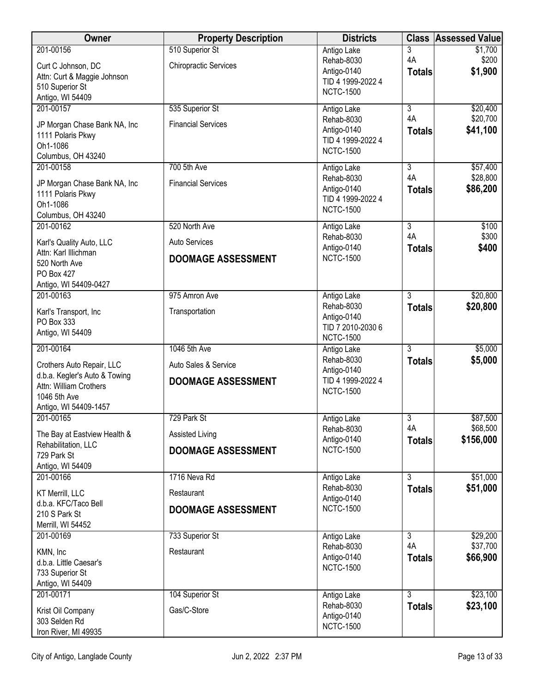| <b>Owner</b>                                     | <b>Property Description</b>  | <b>Districts</b>                 | <b>Class</b>        | <b>Assessed Value</b> |
|--------------------------------------------------|------------------------------|----------------------------------|---------------------|-----------------------|
| 201-00156                                        | 510 Superior St              | Antigo Lake                      | 3                   | \$1,700               |
| Curt C Johnson, DC                               | <b>Chiropractic Services</b> | Rehab-8030<br>Antigo-0140        | 4A<br><b>Totals</b> | \$200<br>\$1,900      |
| Attn: Curt & Maggie Johnson<br>510 Superior St   |                              | TID 4 1999-2022 4                |                     |                       |
| Antigo, WI 54409                                 |                              | <b>NCTC-1500</b>                 |                     |                       |
| 201-00157                                        | 535 Superior St              | Antigo Lake                      | $\overline{3}$      | \$20,400              |
| JP Morgan Chase Bank NA, Inc                     | <b>Financial Services</b>    | Rehab-8030                       | 4A                  | \$20,700              |
| 1111 Polaris Pkwy                                |                              | Antigo-0140<br>TID 4 1999-2022 4 | <b>Totals</b>       | \$41,100              |
| Oh1-1086<br>Columbus, OH 43240                   |                              | <b>NCTC-1500</b>                 |                     |                       |
| 201-00158                                        | 700 5th Ave                  | Antigo Lake                      | 3                   | \$57,400              |
| JP Morgan Chase Bank NA, Inc                     | <b>Financial Services</b>    | Rehab-8030                       | 4A                  | \$28,800              |
| 1111 Polaris Pkwy                                |                              | Antigo-0140<br>TID 4 1999-2022 4 | <b>Totals</b>       | \$86,200              |
| Oh1-1086                                         |                              | <b>NCTC-1500</b>                 |                     |                       |
| Columbus, OH 43240<br>201-00162                  | 520 North Ave                | Antigo Lake                      | $\overline{3}$      | \$100                 |
|                                                  | Auto Services                | Rehab-8030                       | 4A                  | \$300                 |
| Karl's Quality Auto, LLC<br>Attn: Karl Illichman |                              | Antigo-0140                      | <b>Totals</b>       | \$400                 |
| 520 North Ave                                    | <b>DOOMAGE ASSESSMENT</b>    | <b>NCTC-1500</b>                 |                     |                       |
| PO Box 427                                       |                              |                                  |                     |                       |
| Antigo, WI 54409-0427<br>201-00163               | 975 Amron Ave                | Antigo Lake                      | $\overline{3}$      | \$20,800              |
| Karl's Transport, Inc                            | Transportation               | Rehab-8030                       | <b>Totals</b>       | \$20,800              |
| PO Box 333                                       |                              | Antigo-0140<br>TID 7 2010-2030 6 |                     |                       |
| Antigo, WI 54409                                 |                              | <b>NCTC-1500</b>                 |                     |                       |
| 201-00164                                        | 1046 5th Ave                 | Antigo Lake                      | $\overline{3}$      | \$5,000               |
| Crothers Auto Repair, LLC                        | Auto Sales & Service         | Rehab-8030<br>Antigo-0140        | <b>Totals</b>       | \$5,000               |
| d.b.a. Kegler's Auto & Towing                    | <b>DOOMAGE ASSESSMENT</b>    | TID 4 1999-2022 4                |                     |                       |
| Attn: William Crothers<br>1046 5th Ave           |                              | <b>NCTC-1500</b>                 |                     |                       |
| Antigo, WI 54409-1457                            |                              |                                  |                     |                       |
| 201-00165                                        | 729 Park St                  | Antigo Lake                      | $\overline{3}$      | \$87,500              |
| The Bay at Eastview Health &                     | Assisted Living              | Rehab-8030<br>Antigo-0140        | 4A<br><b>Totals</b> | \$68,500<br>\$156,000 |
| Rehabilitation, LLC<br>729 Park St               | <b>DOOMAGE ASSESSMENT</b>    | <b>NCTC-1500</b>                 |                     |                       |
| Antigo, WI 54409                                 |                              |                                  |                     |                       |
| 201-00166                                        | 1716 Neva Rd                 | Antigo Lake                      | $\overline{3}$      | \$51,000              |
| KT Merrill, LLC                                  | Restaurant                   | Rehab-8030<br>Antigo-0140        | <b>Totals</b>       | \$51,000              |
| d.b.a. KFC/Taco Bell<br>210 S Park St            | <b>DOOMAGE ASSESSMENT</b>    | <b>NCTC-1500</b>                 |                     |                       |
| Merrill, WI 54452                                |                              |                                  |                     |                       |
| 201-00169                                        | 733 Superior St              | Antigo Lake                      | $\overline{3}$      | \$29,200              |
| KMN, Inc                                         | Restaurant                   | Rehab-8030                       | 4A                  | \$37,700              |
| d.b.a. Little Caesar's                           |                              | Antigo-0140<br><b>NCTC-1500</b>  | <b>Totals</b>       | \$66,900              |
| 733 Superior St<br>Antigo, WI 54409              |                              |                                  |                     |                       |
| 201-00171                                        | 104 Superior St              | Antigo Lake                      | $\overline{3}$      | \$23,100              |
| Krist Oil Company                                | Gas/C-Store                  | Rehab-8030                       | <b>Totals</b>       | \$23,100              |
| 303 Selden Rd                                    |                              | Antigo-0140<br><b>NCTC-1500</b>  |                     |                       |
| Iron River, MI 49935                             |                              |                                  |                     |                       |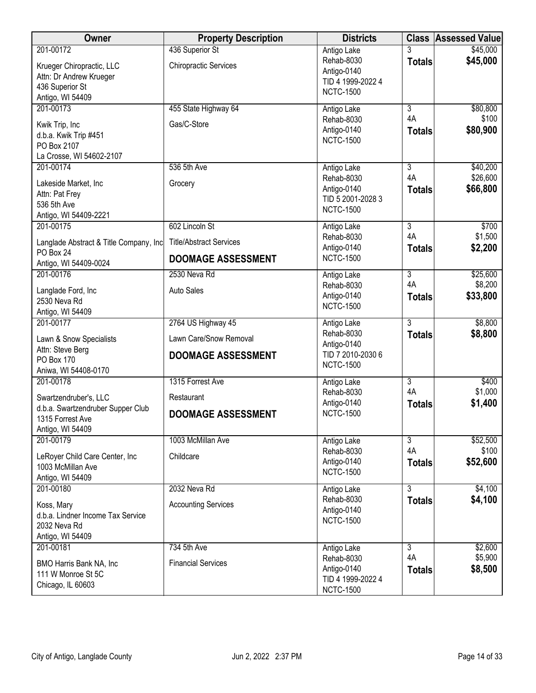| Owner                                                                                | <b>Property Description</b>                     | <b>Districts</b>                                                   |                      | <b>Class Assessed Value</b> |
|--------------------------------------------------------------------------------------|-------------------------------------------------|--------------------------------------------------------------------|----------------------|-----------------------------|
| 201-00172<br>Krueger Chiropractic, LLC<br>Attn: Dr Andrew Krueger<br>436 Superior St | 436 Superior St<br><b>Chiropractic Services</b> | Antigo Lake<br>Rehab-8030<br>Antigo-0140<br>TID 4 1999-2022 4      | 3<br><b>Totals</b>   | \$45,000<br>\$45,000        |
| Antigo, WI 54409                                                                     |                                                 | <b>NCTC-1500</b>                                                   |                      |                             |
| 201-00173                                                                            | 455 State Highway 64                            | Antigo Lake                                                        | $\overline{3}$<br>4A | \$80,800<br>\$100           |
| Kwik Trip, Inc<br>d.b.a. Kwik Trip #451<br>PO Box 2107<br>La Crosse, WI 54602-2107   | Gas/C-Store                                     | Rehab-8030<br>Antigo-0140<br><b>NCTC-1500</b>                      | <b>Totals</b>        | \$80,900                    |
| 201-00174                                                                            | 536 5th Ave                                     | Antigo Lake                                                        | $\overline{3}$       | \$40,200                    |
| Lakeside Market, Inc<br>Attn: Pat Frey<br>536 5th Ave<br>Antigo, WI 54409-2221       | Grocery                                         | Rehab-8030<br>Antigo-0140<br>TID 5 2001-2028 3<br><b>NCTC-1500</b> | 4A<br><b>Totals</b>  | \$26,600<br>\$66,800        |
| 201-00175                                                                            | 602 Lincoln St                                  | Antigo Lake                                                        | $\overline{3}$       | \$700                       |
| Langlade Abstract & Title Company, Inc<br>PO Box 24                                  | <b>Title/Abstract Services</b>                  | Rehab-8030<br>Antigo-0140                                          | 4A<br><b>Totals</b>  | \$1,500<br>\$2,200          |
| Antigo, WI 54409-0024                                                                | <b>DOOMAGE ASSESSMENT</b>                       | <b>NCTC-1500</b>                                                   |                      |                             |
| 201-00176                                                                            | 2530 Neva Rd                                    | Antigo Lake                                                        | $\overline{3}$       | \$25,600                    |
| Langlade Ford, Inc<br>2530 Neva Rd<br>Antigo, WI 54409                               | <b>Auto Sales</b>                               | Rehab-8030<br>Antigo-0140<br><b>NCTC-1500</b>                      | 4A<br><b>Totals</b>  | \$8,200<br>\$33,800         |
| 201-00177                                                                            | 2764 US Highway 45                              | Antigo Lake                                                        | $\overline{3}$       | \$8,800                     |
| Lawn & Snow Specialists                                                              | Lawn Care/Snow Removal                          | Rehab-8030<br>Antigo-0140                                          | <b>Totals</b>        | \$8,800                     |
| Attn: Steve Berg<br>PO Box 170<br>Aniwa, WI 54408-0170                               | <b>DOOMAGE ASSESSMENT</b>                       | TID 7 2010-2030 6<br><b>NCTC-1500</b>                              |                      |                             |
| 201-00178                                                                            | 1315 Forrest Ave                                | Antigo Lake                                                        | $\overline{3}$       | \$400                       |
| Swartzendruber's, LLC                                                                | Restaurant                                      | Rehab-8030<br>Antigo-0140                                          | 4A<br><b>Totals</b>  | \$1,000<br>\$1,400          |
| d.b.a. Swartzendruber Supper Club<br>1315 Forrest Ave<br>Antigo, WI 54409            | <b>DOOMAGE ASSESSMENT</b>                       | <b>NCTC-1500</b>                                                   |                      |                             |
| 201-00179                                                                            | 1003 McMillan Ave                               | Antigo Lake                                                        | $\overline{3}$       | \$52,500                    |
| LeRoyer Child Care Center, Inc<br>1003 McMillan Ave<br>Antigo, WI 54409              | Childcare                                       | Rehab-8030<br>Antigo-0140<br><b>NCTC-1500</b>                      | 4A<br><b>Totals</b>  | \$100<br>\$52,600           |
| 201-00180                                                                            | 2032 Neva Rd                                    | Antigo Lake                                                        | $\overline{3}$       | \$4,100                     |
| Koss, Mary<br>d.b.a. Lindner Income Tax Service<br>2032 Neva Rd<br>Antigo, WI 54409  | <b>Accounting Services</b>                      | Rehab-8030<br>Antigo-0140<br><b>NCTC-1500</b>                      | <b>Totals</b>        | \$4,100                     |
| 201-00181                                                                            | 734 5th Ave                                     | Antigo Lake                                                        | $\overline{3}$       | \$2,600                     |
| BMO Harris Bank NA, Inc<br>111 W Monroe St 5C<br>Chicago, IL 60603                   | <b>Financial Services</b>                       | Rehab-8030<br>Antigo-0140<br>TID 4 1999-2022 4<br><b>NCTC-1500</b> | 4A<br><b>Totals</b>  | \$5,900<br>\$8,500          |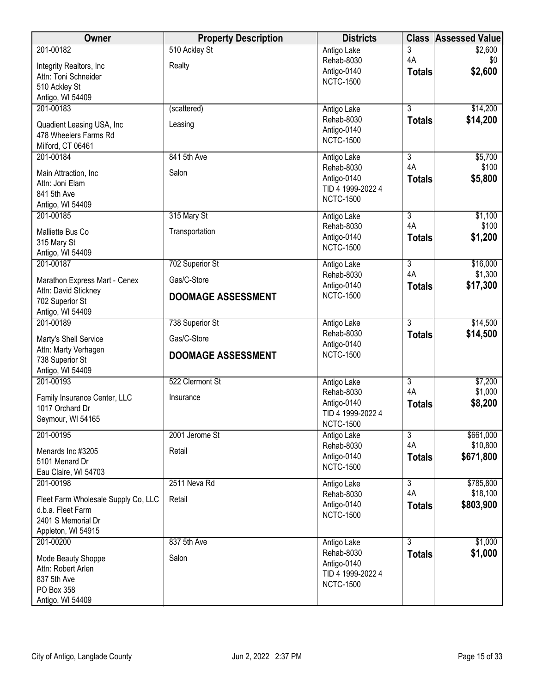| Owner                                         | <b>Property Description</b> | <b>Districts</b>                 | <b>Class</b>         | <b>Assessed Value</b> |
|-----------------------------------------------|-----------------------------|----------------------------------|----------------------|-----------------------|
| 201-00182                                     | 510 Ackley St               | Antigo Lake                      | 3                    | \$2,600               |
| Integrity Realtors, Inc.                      | Realty                      | Rehab-8030                       | 4A                   | \$0                   |
| Attn: Toni Schneider                          |                             | Antigo-0140<br><b>NCTC-1500</b>  | <b>Totals</b>        | \$2,600               |
| 510 Ackley St                                 |                             |                                  |                      |                       |
| Antigo, WI 54409                              |                             |                                  |                      |                       |
| 201-00183                                     | (scattered)                 | Antigo Lake                      | $\overline{3}$       | \$14,200              |
| Quadient Leasing USA, Inc                     | Leasing                     | Rehab-8030<br>Antigo-0140        | <b>Totals</b>        | \$14,200              |
| 478 Wheelers Farms Rd                         |                             | <b>NCTC-1500</b>                 |                      |                       |
| Milford, CT 06461                             |                             |                                  |                      |                       |
| 201-00184                                     | 841 5th Ave                 | Antigo Lake                      | $\overline{3}$       | \$5,700               |
| Main Attraction, Inc                          | Salon                       | Rehab-8030                       | 4A                   | \$100                 |
| Attn: Joni Elam                               |                             | Antigo-0140<br>TID 4 1999-2022 4 | <b>Totals</b>        | \$5,800               |
| 841 5th Ave                                   |                             | <b>NCTC-1500</b>                 |                      |                       |
| Antigo, WI 54409                              |                             |                                  |                      |                       |
| 201-00185                                     | 315 Mary St                 | Antigo Lake                      | $\overline{3}$       | \$1,100               |
| Malliette Bus Co                              | Transportation              | Rehab-8030                       | 4A                   | \$100                 |
| 315 Mary St                                   |                             | Antigo-0140<br><b>NCTC-1500</b>  | <b>Totals</b>        | \$1,200               |
| Antigo, WI 54409                              |                             |                                  |                      |                       |
| 201-00187                                     | 702 Superior St             | Antigo Lake                      | $\overline{3}$       | \$16,000              |
| Marathon Express Mart - Cenex                 | Gas/C-Store                 | Rehab-8030<br>Antigo-0140        | 4A<br><b>Totals</b>  | \$1,300<br>\$17,300   |
| Attn: David Stickney<br>702 Superior St       | <b>DOOMAGE ASSESSMENT</b>   | <b>NCTC-1500</b>                 |                      |                       |
| Antigo, WI 54409                              |                             |                                  |                      |                       |
| 201-00189                                     | 738 Superior St             | Antigo Lake                      | $\overline{3}$       | \$14,500              |
|                                               | Gas/C-Store                 | Rehab-8030                       | <b>Totals</b>        | \$14,500              |
| Marty's Shell Service<br>Attn: Marty Verhagen |                             | Antigo-0140                      |                      |                       |
| 738 Superior St                               | <b>DOOMAGE ASSESSMENT</b>   | <b>NCTC-1500</b>                 |                      |                       |
| Antigo, WI 54409                              |                             |                                  |                      |                       |
| 201-00193                                     | 522 Clermont St             | Antigo Lake                      | $\overline{3}$       | \$7,200               |
| Family Insurance Center, LLC                  |                             | Rehab-8030                       | 4A                   | \$1,000               |
| 1017 Orchard Dr                               | Insurance                   | Antigo-0140                      | <b>Totals</b>        | \$8,200               |
| Seymour, WI 54165                             |                             | TID 4 1999-2022 4                |                      |                       |
|                                               |                             | <b>NCTC-1500</b>                 |                      |                       |
| 201-00195                                     | 2001 Jerome St              | Antigo Lake<br>Rehab-8030        | $\overline{3}$<br>4A | \$661,000<br>\$10,800 |
| Menards Inc #3205                             | Retail                      | Antigo-0140                      | <b>Totals</b>        | \$671,800             |
| 5101 Menard Dr                                |                             | <b>NCTC-1500</b>                 |                      |                       |
| Eau Claire, WI 54703                          |                             |                                  |                      |                       |
| 201-00198                                     | 2511 Neva Rd                | Antigo Lake                      | $\overline{3}$<br>4A | \$785,800<br>\$18,100 |
| Fleet Farm Wholesale Supply Co, LLC           | Retail                      | Rehab-8030<br>Antigo-0140        |                      |                       |
| d.b.a. Fleet Farm                             |                             | <b>NCTC-1500</b>                 | <b>Totals</b>        | \$803,900             |
| 2401 S Memorial Dr                            |                             |                                  |                      |                       |
| Appleton, WI 54915                            |                             |                                  |                      |                       |
| 201-00200                                     | 837 5th Ave                 | Antigo Lake                      | $\overline{3}$       | \$1,000               |
| Mode Beauty Shoppe                            | Salon                       | Rehab-8030<br>Antigo-0140        | <b>Totals</b>        | \$1,000               |
| Attn: Robert Arlen                            |                             | TID 4 1999-2022 4                |                      |                       |
| 837 5th Ave                                   |                             | <b>NCTC-1500</b>                 |                      |                       |
| PO Box 358                                    |                             |                                  |                      |                       |
| Antigo, WI 54409                              |                             |                                  |                      |                       |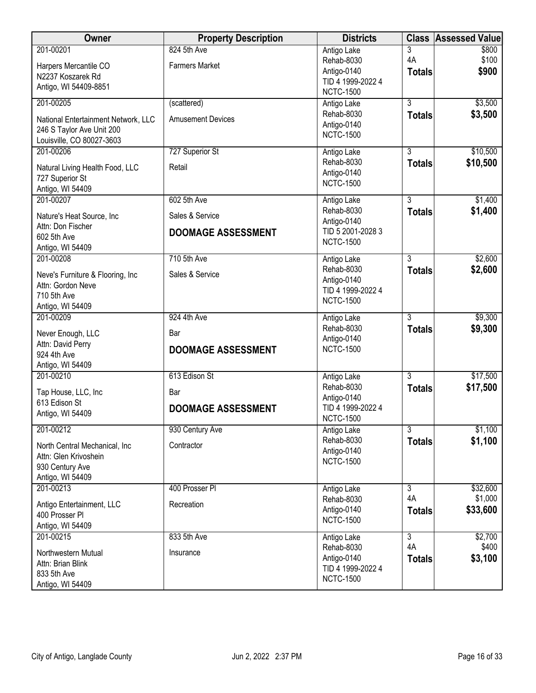| Owner                               | <b>Property Description</b> | <b>Districts</b>                 | <b>Class</b>   | <b>Assessed Value</b> |
|-------------------------------------|-----------------------------|----------------------------------|----------------|-----------------------|
| 201-00201                           | 824 5th Ave                 | Antigo Lake                      | 3              | \$800                 |
| Harpers Mercantile CO               | <b>Farmers Market</b>       | Rehab-8030                       | 4A             | \$100                 |
| N2237 Koszarek Rd                   |                             | Antigo-0140<br>TID 4 1999-2022 4 | <b>Totals</b>  | \$900                 |
| Antigo, WI 54409-8851               |                             | <b>NCTC-1500</b>                 |                |                       |
| 201-00205                           | (scattered)                 | Antigo Lake                      | $\overline{3}$ | \$3,500               |
| National Entertainment Network, LLC | <b>Amusement Devices</b>    | Rehab-8030                       | <b>Totals</b>  | \$3,500               |
| 246 S Taylor Ave Unit 200           |                             | Antigo-0140                      |                |                       |
| Louisville, CO 80027-3603           |                             | <b>NCTC-1500</b>                 |                |                       |
| 201-00206                           | 727 Superior St             | Antigo Lake                      | $\overline{3}$ | \$10,500              |
| Natural Living Health Food, LLC     | Retail                      | Rehab-8030                       | <b>Totals</b>  | \$10,500              |
| 727 Superior St                     |                             | Antigo-0140                      |                |                       |
| Antigo, WI 54409                    |                             | <b>NCTC-1500</b>                 |                |                       |
| 201-00207                           | 602 5th Ave                 | Antigo Lake                      | 3              | \$1,400               |
| Nature's Heat Source, Inc           | Sales & Service             | Rehab-8030                       | <b>Totals</b>  | \$1,400               |
| Attn: Don Fischer                   |                             | Antigo-0140                      |                |                       |
| 602 5th Ave                         | <b>DOOMAGE ASSESSMENT</b>   | TID 5 2001-2028 3                |                |                       |
| Antigo, WI 54409                    |                             | <b>NCTC-1500</b>                 |                |                       |
| 201-00208                           | 710 5th Ave                 | Antigo Lake                      | 3              | \$2,600               |
| Neve's Furniture & Flooring, Inc    | Sales & Service             | Rehab-8030                       | <b>Totals</b>  | \$2,600               |
| Attn: Gordon Neve                   |                             | Antigo-0140                      |                |                       |
| 710 5th Ave                         |                             | TID 4 1999-2022 4                |                |                       |
| Antigo, WI 54409                    |                             | <b>NCTC-1500</b>                 |                |                       |
| 201-00209                           | 924 4th Ave                 | Antigo Lake                      | $\overline{3}$ | \$9,300               |
| Never Enough, LLC                   | Bar                         | Rehab-8030                       | <b>Totals</b>  | \$9,300               |
| Attn: David Perry                   |                             | Antigo-0140                      |                |                       |
| 924 4th Ave                         | <b>DOOMAGE ASSESSMENT</b>   | <b>NCTC-1500</b>                 |                |                       |
| Antigo, WI 54409                    |                             |                                  |                |                       |
| 201-00210                           | 613 Edison St               | Antigo Lake                      | $\overline{3}$ | \$17,500              |
| Tap House, LLC, Inc                 | Bar                         | Rehab-8030                       | <b>Totals</b>  | \$17,500              |
| 613 Edison St                       | <b>DOOMAGE ASSESSMENT</b>   | Antigo-0140<br>TID 4 1999-2022 4 |                |                       |
| Antigo, WI 54409                    |                             | <b>NCTC-1500</b>                 |                |                       |
| 201-00212                           | 930 Century Ave             | Antigo Lake                      | $\overline{3}$ | \$1,100               |
| North Central Mechanical, Inc       | Contractor                  | Rehab-8030                       | <b>Totals</b>  | \$1,100               |
| Attn: Glen Krivoshein               |                             | Antigo-0140                      |                |                       |
| 930 Century Ave                     |                             | <b>NCTC-1500</b>                 |                |                       |
| Antigo, WI 54409                    |                             |                                  |                |                       |
| 201-00213                           | 400 Prosser PI              | Antigo Lake                      | $\overline{3}$ | \$32,600              |
| Antigo Entertainment, LLC           | Recreation                  | Rehab-8030                       | 4A             | \$1,000               |
| 400 Prosser PI                      |                             | Antigo-0140                      | <b>Totals</b>  | \$33,600              |
| Antigo, WI 54409                    |                             | <b>NCTC-1500</b>                 |                |                       |
| 201-00215                           | 833 5th Ave                 | Antigo Lake                      | $\overline{3}$ | \$2,700               |
| Northwestern Mutual                 |                             | Rehab-8030                       | 4A             | \$400                 |
| Attn: Brian Blink                   | Insurance                   | Antigo-0140                      | <b>Totals</b>  | \$3,100               |
| 833 5th Ave                         |                             | TID 4 1999-2022 4                |                |                       |
| Antigo, WI 54409                    |                             | <b>NCTC-1500</b>                 |                |                       |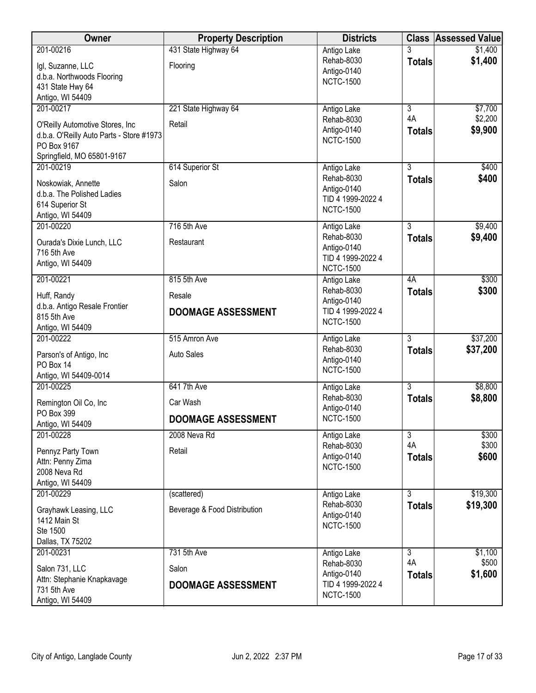| Owner                                            | <b>Property Description</b>  | <b>Districts</b>  |                | <b>Class Assessed Value</b> |
|--------------------------------------------------|------------------------------|-------------------|----------------|-----------------------------|
| 201-00216                                        | 431 State Highway 64         | Antigo Lake       |                | \$1,400                     |
| Igl, Suzanne, LLC                                | Flooring                     | Rehab-8030        | <b>Totals</b>  | \$1,400                     |
| d.b.a. Northwoods Flooring                       |                              | Antigo-0140       |                |                             |
| 431 State Hwy 64                                 |                              | <b>NCTC-1500</b>  |                |                             |
| Antigo, WI 54409                                 |                              |                   |                |                             |
| 201-00217                                        | 221 State Highway 64         | Antigo Lake       | $\overline{3}$ | \$7,700                     |
| O'Reilly Automotive Stores, Inc                  | Retail                       | Rehab-8030        | 4A             | \$2,200                     |
| d.b.a. O'Reilly Auto Parts - Store #1973         |                              | Antigo-0140       | <b>Totals</b>  | \$9,900                     |
| PO Box 9167                                      |                              | <b>NCTC-1500</b>  |                |                             |
| Springfield, MO 65801-9167                       |                              |                   |                |                             |
| 201-00219                                        | 614 Superior St              | Antigo Lake       | $\overline{3}$ | \$400                       |
|                                                  | Salon                        | Rehab-8030        | <b>Totals</b>  | \$400                       |
| Noskowiak, Annette<br>d.b.a. The Polished Ladies |                              | Antigo-0140       |                |                             |
| 614 Superior St                                  |                              | TID 4 1999-2022 4 |                |                             |
| Antigo, WI 54409                                 |                              | <b>NCTC-1500</b>  |                |                             |
| 201-00220                                        | 716 5th Ave                  | Antigo Lake       | 3              | \$9,400                     |
|                                                  |                              | Rehab-8030        | <b>Totals</b>  | \$9,400                     |
| Ourada's Dixie Lunch, LLC                        | Restaurant                   | Antigo-0140       |                |                             |
| 716 5th Ave<br>Antigo, WI 54409                  |                              | TID 4 1999-2022 4 |                |                             |
|                                                  |                              | <b>NCTC-1500</b>  |                |                             |
| 201-00221                                        | 815 5th Ave                  | Antigo Lake       | 4A             | \$300                       |
| Huff, Randy                                      | Resale                       | Rehab-8030        | <b>Totals</b>  | \$300                       |
| d.b.a. Antigo Resale Frontier                    |                              | Antigo-0140       |                |                             |
| 815 5th Ave                                      | <b>DOOMAGE ASSESSMENT</b>    | TID 4 1999-2022 4 |                |                             |
| Antigo, WI 54409                                 |                              | <b>NCTC-1500</b>  |                |                             |
| 201-00222                                        | 515 Amron Ave                | Antigo Lake       | $\overline{3}$ | \$37,200                    |
| Parson's of Antigo, Inc                          | <b>Auto Sales</b>            | Rehab-8030        | <b>Totals</b>  | \$37,200                    |
| PO Box 14                                        |                              | Antigo-0140       |                |                             |
| Antigo, WI 54409-0014                            |                              | <b>NCTC-1500</b>  |                |                             |
| 201-00225                                        | 641 7th Ave                  | Antigo Lake       | $\overline{3}$ | \$8,800                     |
|                                                  | Car Wash                     | Rehab-8030        | <b>Totals</b>  | \$8,800                     |
| Remington Oil Co, Inc<br>PO Box 399              |                              | Antigo-0140       |                |                             |
| Antigo, WI 54409                                 | DOOMAGE ASSESSMENT           | <b>NCTC-1500</b>  |                |                             |
| 201-00228                                        | 2008 Neva Rd                 | Antigo Lake       | $\overline{3}$ | \$300                       |
|                                                  |                              | Rehab-8030        | 4A             | \$300                       |
| Pennyz Party Town                                | Retail                       | Antigo-0140       | <b>Totals</b>  | \$600                       |
| Attn: Penny Zima<br>2008 Neva Rd                 |                              | <b>NCTC-1500</b>  |                |                             |
| Antigo, WI 54409                                 |                              |                   |                |                             |
| 201-00229                                        | (scattered)                  | Antigo Lake       | $\overline{3}$ | \$19,300                    |
|                                                  |                              | Rehab-8030        | <b>Totals</b>  | \$19,300                    |
| Grayhawk Leasing, LLC                            | Beverage & Food Distribution | Antigo-0140       |                |                             |
| 1412 Main St<br>Ste 1500                         |                              | <b>NCTC-1500</b>  |                |                             |
| Dallas, TX 75202                                 |                              |                   |                |                             |
| 201-00231                                        | 731 5th Ave                  | Antigo Lake       | 3              | \$1,100                     |
|                                                  |                              | Rehab-8030        | 4A             | \$500                       |
| Salon 731, LLC                                   | Salon                        | Antigo-0140       | <b>Totals</b>  | \$1,600                     |
| Attn: Stephanie Knapkavage                       | <b>DOOMAGE ASSESSMENT</b>    | TID 4 1999-2022 4 |                |                             |
| 731 5th Ave                                      |                              | <b>NCTC-1500</b>  |                |                             |
| Antigo, WI 54409                                 |                              |                   |                |                             |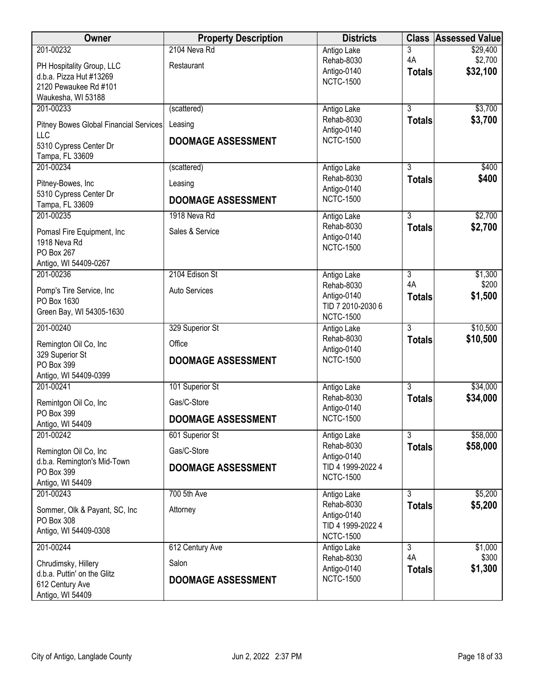| Owner                                                                                                   | <b>Property Description</b>                         | <b>Districts</b>                                                   | <b>Class</b>                    | <b>Assessed Value</b>           |
|---------------------------------------------------------------------------------------------------------|-----------------------------------------------------|--------------------------------------------------------------------|---------------------------------|---------------------------------|
| 201-00232<br>PH Hospitality Group, LLC<br>d.b.a. Pizza Hut #13269                                       | 2104 Neva Rd<br>Restaurant                          | Antigo Lake<br>Rehab-8030<br>Antigo-0140<br><b>NCTC-1500</b>       | 3<br>4A<br><b>Totals</b>        | \$29,400<br>\$2,700<br>\$32,100 |
| 2120 Pewaukee Rd #101<br>Waukesha, WI 53188                                                             |                                                     |                                                                    |                                 |                                 |
| 201-00233<br>Pitney Bowes Global Financial Services<br>LLC<br>5310 Cypress Center Dr<br>Tampa, FL 33609 | (scattered)<br>Leasing<br><b>DOOMAGE ASSESSMENT</b> | Antigo Lake<br>Rehab-8030<br>Antigo-0140<br><b>NCTC-1500</b>       | $\overline{3}$<br><b>Totals</b> | \$3,700<br>\$3,700              |
| 201-00234                                                                                               | (scattered)                                         | Antigo Lake                                                        | 3                               | \$400                           |
| Pitney-Bowes, Inc<br>5310 Cypress Center Dr                                                             | Leasing<br><b>DOOMAGE ASSESSMENT</b>                | Rehab-8030<br>Antigo-0140<br><b>NCTC-1500</b>                      | <b>Totals</b>                   | \$400                           |
| Tampa, FL 33609<br>201-00235                                                                            | 1918 Neva Rd                                        | Antigo Lake                                                        | $\overline{3}$                  | \$2,700                         |
| Pomasl Fire Equipment, Inc<br>1918 Neva Rd<br>PO Box 267<br>Antigo, WI 54409-0267                       | Sales & Service                                     | Rehab-8030<br>Antigo-0140<br><b>NCTC-1500</b>                      | <b>Totals</b>                   | \$2,700                         |
| 201-00236                                                                                               | 2104 Edison St                                      | Antigo Lake                                                        | 3                               | \$1,300                         |
| Pomp's Tire Service, Inc<br>PO Box 1630<br>Green Bay, WI 54305-1630                                     | <b>Auto Services</b>                                | Rehab-8030<br>Antigo-0140<br>TID 7 2010-2030 6<br><b>NCTC-1500</b> | 4A<br><b>Totals</b>             | \$200<br>\$1,500                |
| 201-00240                                                                                               | 329 Superior St                                     | Antigo Lake                                                        | $\overline{3}$                  | \$10,500                        |
| Remington Oil Co, Inc<br>329 Superior St<br>PO Box 399<br>Antigo, WI 54409-0399                         | Office<br><b>DOOMAGE ASSESSMENT</b>                 | Rehab-8030<br>Antigo-0140<br><b>NCTC-1500</b>                      | <b>Totals</b>                   | \$10,500                        |
| 201-00241                                                                                               | 101 Superior St                                     | Antigo Lake                                                        | $\overline{3}$                  | \$34,000                        |
| Remintgon Oil Co, Inc                                                                                   | Gas/C-Store                                         | Rehab-8030<br>Antigo-0140                                          | <b>Totals</b>                   | \$34,000                        |
| PO Box 399<br>Antigo, WI 54409                                                                          | <b>DOOMAGE ASSESSMENT</b>                           | <b>NCTC-1500</b>                                                   |                                 |                                 |
| 201-00242                                                                                               | 601 Superior St                                     | Antigo Lake                                                        | 3                               | \$58,000                        |
| Remington Oil Co, Inc                                                                                   | Gas/C-Store                                         | Rehab-8030<br>Antigo-0140                                          | <b>Totals</b>                   | \$58,000                        |
| d.b.a. Remington's Mid-Town<br>PO Box 399<br>Antigo, WI 54409                                           | <b>DOOMAGE ASSESSMENT</b>                           | TID 4 1999-2022 4<br><b>NCTC-1500</b>                              |                                 |                                 |
| 201-00243                                                                                               | 700 5th Ave                                         | Antigo Lake                                                        | $\overline{3}$                  | \$5,200                         |
| Sommer, Olk & Payant, SC, Inc<br>PO Box 308<br>Antigo, WI 54409-0308                                    | Attorney                                            | Rehab-8030<br>Antigo-0140<br>TID 4 1999-2022 4<br><b>NCTC-1500</b> | <b>Totals</b>                   | \$5,200                         |
| 201-00244                                                                                               | 612 Century Ave                                     | Antigo Lake                                                        | $\overline{3}$                  | \$1,000                         |
| Chrudimsky, Hillery<br>d.b.a. Puttin' on the Glitz<br>612 Century Ave<br>Antigo, WI 54409               | Salon<br><b>DOOMAGE ASSESSMENT</b>                  | Rehab-8030<br>Antigo-0140<br><b>NCTC-1500</b>                      | 4A<br><b>Totals</b>             | \$300<br>\$1,300                |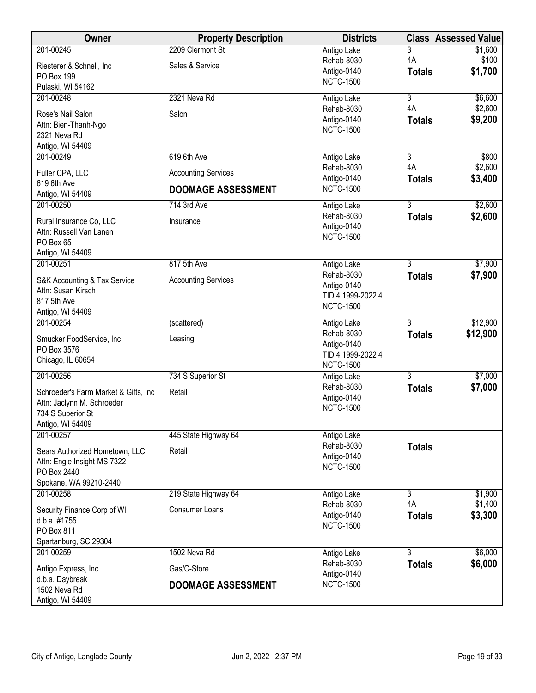| Owner                                 | <b>Property Description</b> | <b>Districts</b>                | <b>Class</b>         | <b>Assessed Value</b> |
|---------------------------------------|-----------------------------|---------------------------------|----------------------|-----------------------|
| 201-00245                             | 2209 Clermont St            | Antigo Lake                     | 3                    | \$1,600               |
| Riesterer & Schnell, Inc.             | Sales & Service             | Rehab-8030<br>Antigo-0140       | 4A                   | \$100                 |
| PO Box 199                            |                             | <b>NCTC-1500</b>                | <b>Totals</b>        | \$1,700               |
| Pulaski, WI 54162                     |                             |                                 |                      |                       |
| 201-00248                             | 2321 Neva Rd                | Antigo Lake<br>Rehab-8030       | $\overline{3}$<br>4A | \$6,600<br>\$2,600    |
| Rose's Nail Salon                     | Salon                       | Antigo-0140                     | <b>Totals</b>        | \$9,200               |
| Attn: Bien-Thanh-Ngo                  |                             | <b>NCTC-1500</b>                |                      |                       |
| 2321 Neva Rd                          |                             |                                 |                      |                       |
| Antigo, WI 54409                      |                             |                                 | $\overline{3}$       |                       |
| 201-00249                             | 619 6th Ave                 | Antigo Lake<br>Rehab-8030       | 4A                   | \$800<br>\$2,600      |
| Fuller CPA, LLC                       | <b>Accounting Services</b>  | Antigo-0140                     | <b>Totals</b>        | \$3,400               |
| 619 6th Ave                           | <b>DOOMAGE ASSESSMENT</b>   | <b>NCTC-1500</b>                |                      |                       |
| Antigo, WI 54409                      |                             |                                 |                      |                       |
| 201-00250                             | 714 3rd Ave                 | Antigo Lake<br>Rehab-8030       | $\overline{3}$       | \$2,600               |
| Rural Insurance Co, LLC               | Insurance                   | Antigo-0140                     | <b>Totals</b>        | \$2,600               |
| Attn: Russell Van Lanen               |                             | <b>NCTC-1500</b>                |                      |                       |
| PO Box 65                             |                             |                                 |                      |                       |
| Antigo, WI 54409<br>201-00251         | 817 5th Ave                 |                                 | $\overline{3}$       | \$7,900               |
|                                       |                             | Antigo Lake<br>Rehab-8030       | <b>Totals</b>        | \$7,900               |
| S&K Accounting & Tax Service          | <b>Accounting Services</b>  | Antigo-0140                     |                      |                       |
| Attn: Susan Kirsch                    |                             | TID 4 1999-2022 4               |                      |                       |
| 817 5th Ave                           |                             | <b>NCTC-1500</b>                |                      |                       |
| Antigo, WI 54409<br>201-00254         | (scattered)                 | Antigo Lake                     | $\overline{3}$       | \$12,900              |
|                                       |                             | Rehab-8030                      | <b>Totals</b>        | \$12,900              |
| Smucker FoodService, Inc              | Leasing                     | Antigo-0140                     |                      |                       |
| PO Box 3576                           |                             | TID 4 1999-2022 4               |                      |                       |
| Chicago, IL 60654                     |                             | <b>NCTC-1500</b>                |                      |                       |
| 201-00256                             | 734 S Superior St           | Antigo Lake                     | $\overline{3}$       | \$7,000               |
| Schroeder's Farm Market & Gifts, Inc. | Retail                      | Rehab-8030                      | <b>Totals</b>        | \$7,000               |
| Attn: Jaclynn M. Schroeder            |                             | Antigo-0140                     |                      |                       |
| 734 S Superior St                     |                             | <b>NCTC-1500</b>                |                      |                       |
| Antigo, WI 54409                      |                             |                                 |                      |                       |
| 201-00257                             | 445 State Highway 64        | Antigo Lake                     |                      |                       |
| Sears Authorized Hometown, LLC        | Retail                      | Rehab-8030                      | <b>Totals</b>        |                       |
| Attn: Engie Insight-MS 7322           |                             | Antigo-0140<br><b>NCTC-1500</b> |                      |                       |
| PO Box 2440                           |                             |                                 |                      |                       |
| Spokane, WA 99210-2440                |                             |                                 |                      |                       |
| 201-00258                             | 219 State Highway 64        | Antigo Lake<br>Rehab-8030       | $\overline{3}$<br>4A | \$1,900<br>\$1,400    |
| Security Finance Corp of WI           | <b>Consumer Loans</b>       | Antigo-0140                     |                      | \$3,300               |
| d.b.a. #1755                          |                             | <b>NCTC-1500</b>                | <b>Totals</b>        |                       |
| PO Box 811                            |                             |                                 |                      |                       |
| Spartanburg, SC 29304                 |                             |                                 |                      |                       |
| 201-00259                             | 1502 Neva Rd                | Antigo Lake<br>Rehab-8030       | $\overline{3}$       | \$6,000               |
| Antigo Express, Inc                   | Gas/C-Store                 | Antigo-0140                     | <b>Totals</b>        | \$6,000               |
| d.b.a. Daybreak                       | <b>DOOMAGE ASSESSMENT</b>   | <b>NCTC-1500</b>                |                      |                       |
| 1502 Neva Rd                          |                             |                                 |                      |                       |
| Antigo, WI 54409                      |                             |                                 |                      |                       |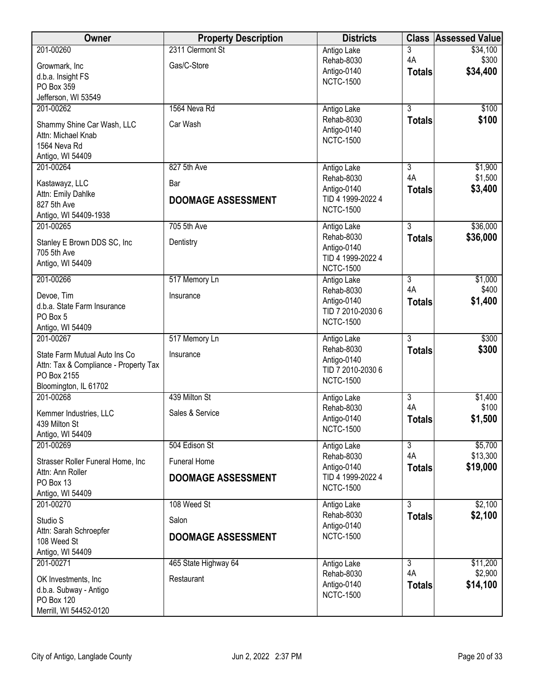| Owner                                                 | <b>Property Description</b> | <b>Districts</b>                      | <b>Class</b>         | <b>Assessed Value</b> |
|-------------------------------------------------------|-----------------------------|---------------------------------------|----------------------|-----------------------|
| 201-00260                                             | 2311 Clermont St            | Antigo Lake                           | 3                    | \$34,100              |
| Growmark, Inc                                         | Gas/C-Store                 | Rehab-8030                            | 4A                   | \$300                 |
| d.b.a. Insight FS                                     |                             | Antigo-0140<br><b>NCTC-1500</b>       | <b>Totals</b>        | \$34,400              |
| PO Box 359                                            |                             |                                       |                      |                       |
| Jefferson, WI 53549<br>201-00262                      | 1564 Neva Rd                |                                       | $\overline{3}$       | \$100                 |
|                                                       |                             | Antigo Lake<br>Rehab-8030             | <b>Totals</b>        | \$100                 |
| Shammy Shine Car Wash, LLC                            | Car Wash                    | Antigo-0140                           |                      |                       |
| Attn: Michael Knab<br>1564 Neva Rd                    |                             | <b>NCTC-1500</b>                      |                      |                       |
| Antigo, WI 54409                                      |                             |                                       |                      |                       |
| 201-00264                                             | 827 5th Ave                 | Antigo Lake                           | 3                    | \$1,900               |
| Kastawayz, LLC                                        | Bar                         | Rehab-8030                            | 4A                   | \$1,500               |
| Attn: Emily Dahlke                                    |                             | Antigo-0140                           | <b>Totals</b>        | \$3,400               |
| 827 5th Ave                                           | <b>DOOMAGE ASSESSMENT</b>   | TID 4 1999-2022 4<br><b>NCTC-1500</b> |                      |                       |
| Antigo, WI 54409-1938                                 |                             |                                       |                      |                       |
| 201-00265                                             | 705 5th Ave                 | Antigo Lake<br>Rehab-8030             | $\overline{3}$       | \$36,000              |
| Stanley E Brown DDS SC, Inc                           | Dentistry                   | Antigo-0140                           | <b>Totals</b>        | \$36,000              |
| 705 5th Ave                                           |                             | TID 4 1999-2022 4                     |                      |                       |
| Antigo, WI 54409                                      |                             | <b>NCTC-1500</b>                      |                      |                       |
| 201-00266                                             | 517 Memory Ln               | Antigo Lake                           | 3                    | \$1,000               |
| Devoe, Tim                                            | Insurance                   | Rehab-8030<br>Antigo-0140             | 4A<br><b>Totals</b>  | \$400<br>\$1,400      |
| d.b.a. State Farm Insurance                           |                             | TID 7 2010-2030 6                     |                      |                       |
| PO Box 5<br>Antigo, WI 54409                          |                             | <b>NCTC-1500</b>                      |                      |                       |
| 201-00267                                             | 517 Memory Ln               | Antigo Lake                           | $\overline{3}$       | \$300                 |
| State Farm Mutual Auto Ins Co                         | Insurance                   | Rehab-8030                            | <b>Totals</b>        | \$300                 |
| Attn: Tax & Compliance - Property Tax                 |                             | Antigo-0140                           |                      |                       |
| PO Box 2155                                           |                             | TID 7 2010-2030 6<br><b>NCTC-1500</b> |                      |                       |
| Bloomington, IL 61702                                 |                             |                                       |                      |                       |
| 201-00268                                             | 439 Milton St               | Antigo Lake                           | $\overline{3}$<br>4A | \$1,400               |
| Kemmer Industries, LLC                                | Sales & Service             | Rehab-8030<br>Antigo-0140             | <b>Totals</b>        | \$100<br>\$1,500      |
| 439 Milton St                                         |                             | <b>NCTC-1500</b>                      |                      |                       |
| Antigo, WI 54409<br>201-00269                         | 504 Edison St               | Antigo Lake                           | $\overline{3}$       | \$5,700               |
|                                                       | <b>Funeral Home</b>         | Rehab-8030                            | 4A                   | \$13,300              |
| Strasser Roller Funeral Home, Inc<br>Attn: Ann Roller |                             | Antigo-0140                           | <b>Totals</b>        | \$19,000              |
| PO Box 13                                             | <b>DOOMAGE ASSESSMENT</b>   | TID 4 1999-2022 4<br><b>NCTC-1500</b> |                      |                       |
| Antigo, WI 54409                                      |                             |                                       |                      |                       |
| 201-00270                                             | 108 Weed St                 | Antigo Lake                           | $\overline{3}$       | \$2,100               |
| Studio S                                              | Salon                       | Rehab-8030<br>Antigo-0140             | <b>Totals</b>        | \$2,100               |
| Attn: Sarah Schroepfer                                | <b>DOOMAGE ASSESSMENT</b>   | <b>NCTC-1500</b>                      |                      |                       |
| 108 Weed St<br>Antigo, WI 54409                       |                             |                                       |                      |                       |
| 201-00271                                             | 465 State Highway 64        | Antigo Lake                           | 3                    | \$11,200              |
|                                                       | Restaurant                  | Rehab-8030                            | 4A                   | \$2,900               |
| OK Investments, Inc.<br>d.b.a. Subway - Antigo        |                             | Antigo-0140                           | <b>Totals</b>        | \$14,100              |
| PO Box 120                                            |                             | <b>NCTC-1500</b>                      |                      |                       |
| Merrill, WI 54452-0120                                |                             |                                       |                      |                       |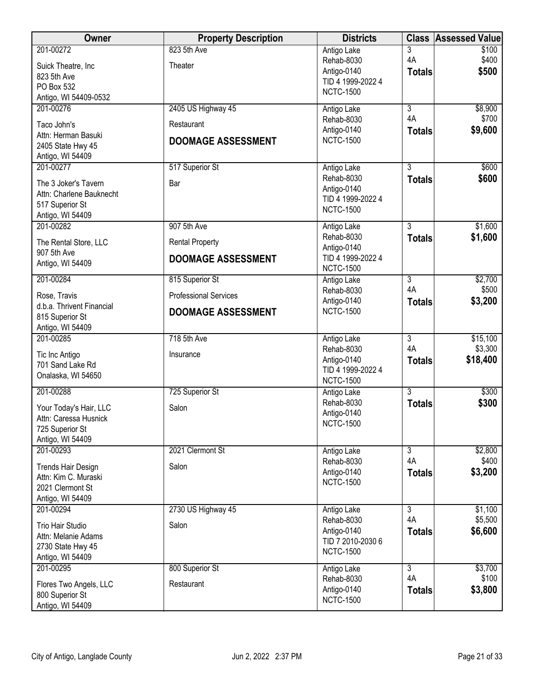| <b>Owner</b>                                   | <b>Property Description</b>  | <b>Districts</b>                      | <b>Class</b>         | <b>Assessed Value</b> |
|------------------------------------------------|------------------------------|---------------------------------------|----------------------|-----------------------|
| 201-00272                                      | 823 5th Ave<br>Theater       | Antigo Lake<br>Rehab-8030             | 3<br>4A              | \$100<br>\$400        |
| Suick Theatre, Inc.<br>823 5th Ave             |                              | Antigo-0140                           | <b>Totals</b>        | \$500                 |
| PO Box 532                                     |                              | TID 4 1999-2022 4<br><b>NCTC-1500</b> |                      |                       |
| Antigo, WI 54409-0532<br>201-00276             |                              |                                       | $\overline{3}$       |                       |
|                                                | 2405 US Highway 45           | Antigo Lake<br>Rehab-8030             | 4A                   | \$8,900<br>\$700      |
| Taco John's<br>Attn: Herman Basuki             | Restaurant                   | Antigo-0140                           | <b>Totals</b>        | \$9,600               |
| 2405 State Hwy 45                              | <b>DOOMAGE ASSESSMENT</b>    | <b>NCTC-1500</b>                      |                      |                       |
| Antigo, WI 54409                               |                              |                                       |                      |                       |
| 201-00277                                      | 517 Superior St              | Antigo Lake                           | 3                    | \$600                 |
| The 3 Joker's Tavern                           | Bar                          | Rehab-8030<br>Antigo-0140             | <b>Totals</b>        | \$600                 |
| Attn: Charlene Bauknecht                       |                              | TID 4 1999-2022 4                     |                      |                       |
| 517 Superior St<br>Antigo, WI 54409            |                              | <b>NCTC-1500</b>                      |                      |                       |
| 201-00282                                      | 907 5th Ave                  | Antigo Lake                           | $\overline{3}$       | \$1,600               |
| The Rental Store, LLC                          | <b>Rental Property</b>       | Rehab-8030                            | <b>Totals</b>        | \$1,600               |
| 907 5th Ave                                    | <b>DOOMAGE ASSESSMENT</b>    | Antigo-0140<br>TID 4 1999-2022 4      |                      |                       |
| Antigo, WI 54409                               |                              | <b>NCTC-1500</b>                      |                      |                       |
| 201-00284                                      | 815 Superior St              | Antigo Lake                           | $\overline{3}$       | \$2,700               |
| Rose, Travis                                   | <b>Professional Services</b> | Rehab-8030<br>Antigo-0140             | 4A<br><b>Totals</b>  | \$500<br>\$3,200      |
| d.b.a. Thrivent Financial                      | <b>DOOMAGE ASSESSMENT</b>    | <b>NCTC-1500</b>                      |                      |                       |
| 815 Superior St<br>Antigo, WI 54409            |                              |                                       |                      |                       |
| 201-00285                                      | 718 5th Ave                  | Antigo Lake                           | $\overline{3}$       | \$15,100              |
| Tic Inc Antigo                                 | Insurance                    | Rehab-8030                            | 4A                   | \$3,300               |
| 701 Sand Lake Rd                               |                              | Antigo-0140<br>TID 4 1999-2022 4      | <b>Totals</b>        | \$18,400              |
| Onalaska, WI 54650                             |                              | <b>NCTC-1500</b>                      |                      |                       |
| 201-00288                                      | 725 Superior St              | Antigo Lake                           | $\overline{3}$       | \$300                 |
| Your Today's Hair, LLC                         | Salon                        | Rehab-8030                            | <b>Totals</b>        | \$300                 |
| Attn: Caressa Husnick                          |                              | Antigo-0140<br><b>NCTC-1500</b>       |                      |                       |
| 725 Superior St<br>Antigo, WI 54409            |                              |                                       |                      |                       |
| 201-00293                                      | 2021 Clermont St             | Antigo Lake                           | $\overline{3}$       | \$2,800               |
| <b>Trends Hair Design</b>                      | Salon                        | Rehab-8030                            | 4A                   | \$400                 |
| Attn: Kim C. Muraski                           |                              | Antigo-0140                           | <b>Totals</b>        | \$3,200               |
| 2021 Clermont St                               |                              | <b>NCTC-1500</b>                      |                      |                       |
| Antigo, WI 54409                               |                              |                                       |                      |                       |
| 201-00294                                      | 2730 US Highway 45           | Antigo Lake<br>Rehab-8030             | $\overline{3}$<br>4A | \$1,100<br>\$5,500    |
| <b>Trio Hair Studio</b><br>Attn: Melanie Adams | Salon                        | Antigo-0140                           | <b>Totals</b>        | \$6,600               |
| 2730 State Hwy 45                              |                              | TID 7 2010-2030 6                     |                      |                       |
| Antigo, WI 54409                               |                              | <b>NCTC-1500</b>                      |                      |                       |
| 201-00295                                      | 800 Superior St              | Antigo Lake                           | $\overline{3}$       | \$3,700               |
| Flores Two Angels, LLC                         | Restaurant                   | Rehab-8030<br>Antigo-0140             | 4A<br><b>Totals</b>  | \$100<br>\$3,800      |
| 800 Superior St                                |                              | <b>NCTC-1500</b>                      |                      |                       |
| Antigo, WI 54409                               |                              |                                       |                      |                       |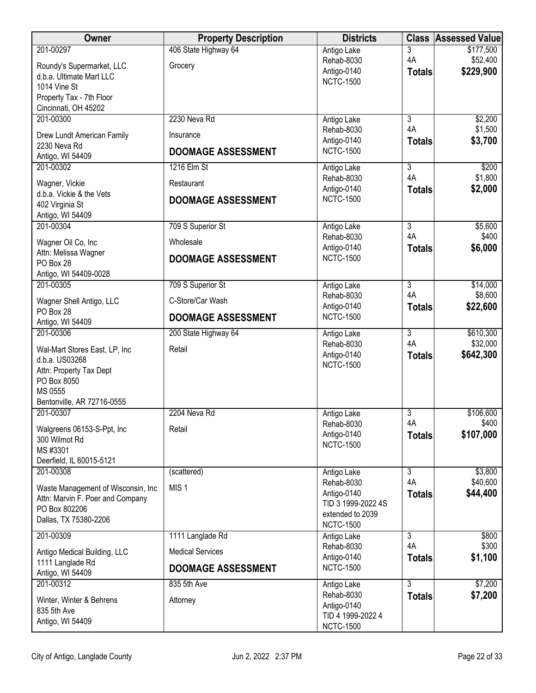| <b>Owner</b>                                                            | <b>Property Description</b>           | <b>Districts</b>                              |                                 | <b>Class Assessed Value</b> |
|-------------------------------------------------------------------------|---------------------------------------|-----------------------------------------------|---------------------------------|-----------------------------|
| 201-00297<br>Roundy's Supermarket, LLC                                  | 406 State Highway 64<br>Grocery       | Antigo Lake<br>Rehab-8030                     | 3<br>4A                         | \$177,500<br>\$52,400       |
| d.b.a. Ultimate Mart LLC<br>1014 Vine St                                |                                       | Antigo-0140<br><b>NCTC-1500</b>               | <b>Totals</b>                   | \$229,900                   |
| Property Tax - 7th Floor<br>Cincinnati, OH 45202                        |                                       |                                               |                                 |                             |
| 201-00300                                                               | 2230 Neva Rd                          | Antigo Lake                                   | $\overline{3}$                  | \$2,200                     |
| Drew Lundt American Family<br>2230 Neva Rd                              | Insurance                             | Rehab-8030<br>Antigo-0140                     | 4A<br><b>Totals</b>             | \$1,500<br>\$3,700          |
| Antigo, WI 54409                                                        | <b>DOOMAGE ASSESSMENT</b>             | <b>NCTC-1500</b>                              |                                 |                             |
| 201-00302                                                               | 1216 Elm St                           | Antigo Lake<br>Rehab-8030                     | $\overline{3}$<br>4A            | \$200<br>\$1,800            |
| Wagner, Vickie                                                          | Restaurant                            | Antigo-0140                                   | <b>Totals</b>                   | \$2,000                     |
| d.b.a. Vickie & the Vets<br>402 Virginia St<br>Antigo, WI 54409         | <b>DOOMAGE ASSESSMENT</b>             | <b>NCTC-1500</b>                              |                                 |                             |
| 201-00304                                                               | 709 S Superior St                     | Antigo Lake                                   | $\overline{3}$                  | \$5,600                     |
| Wagner Oil Co, Inc                                                      | Wholesale                             | Rehab-8030<br>Antigo-0140                     | 4A<br><b>Totals</b>             | \$400<br>\$6,000            |
| Attn: Melissa Wagner<br>PO Box 28                                       | <b>DOOMAGE ASSESSMENT</b>             | <b>NCTC-1500</b>                              |                                 |                             |
| Antigo, WI 54409-0028                                                   |                                       |                                               |                                 |                             |
| 201-00305<br>Wagner Shell Antigo, LLC                                   | 709 S Superior St<br>C-Store/Car Wash | Antigo Lake<br>Rehab-8030                     | $\overline{3}$<br>4A            | \$14,000<br>\$8,600         |
| PO Box 28<br>Antigo, WI 54409                                           | <b>DOOMAGE ASSESSMENT</b>             | Antigo-0140<br><b>NCTC-1500</b>               | <b>Totals</b>                   | \$22,600                    |
| 201-00306                                                               | 200 State Highway 64                  | Antigo Lake                                   | $\overline{3}$                  | \$610,300                   |
| Wal-Mart Stores East, LP, Inc<br>d.b.a. US03268                         | Retail                                | Rehab-8030<br>Antigo-0140<br><b>NCTC-1500</b> | 4A<br><b>Totals</b>             | \$32,000<br>\$642,300       |
| Attn: Property Tax Dept<br>PO Box 8050                                  |                                       |                                               |                                 |                             |
| MS 0555<br>Bentonville, AR 72716-0555                                   |                                       |                                               |                                 |                             |
| 201-00307                                                               | 2204 Neva Rd                          | Antigo Lake                                   | $\overline{3}$                  | \$106,600                   |
| Walgreens 06153-S-Ppt, Inc                                              | Retail                                | Rehab-8030<br>Antigo-0140                     | 4A<br><b>Totals</b>             | \$400<br>\$107,000          |
| 300 Wilmot Rd<br>MS #3301                                               |                                       | <b>NCTC-1500</b>                              |                                 |                             |
| Deerfield, IL 60015-5121                                                |                                       |                                               |                                 |                             |
| 201-00308                                                               | (scattered)                           | Antigo Lake<br>Rehab-8030                     | $\overline{3}$<br>4A            | \$3,800<br>\$40,600         |
| Waste Management of Wisconsin, Inc.<br>Attn: Marvin F. Poer and Company | MIS <sub>1</sub>                      | Antigo-0140                                   | <b>Totals</b>                   | \$44,400                    |
| PO Box 802206                                                           |                                       | TID 3 1999-2022 4S<br>extended to 2039        |                                 |                             |
| Dallas, TX 75380-2206                                                   |                                       | <b>NCTC-1500</b>                              |                                 |                             |
| 201-00309                                                               | 1111 Langlade Rd                      | Antigo Lake<br>Rehab-8030                     | $\overline{3}$<br>4A            | \$800<br>\$300              |
| Antigo Medical Building, LLC<br>1111 Langlade Rd                        | <b>Medical Services</b>               | Antigo-0140                                   | <b>Totals</b>                   | \$1,100                     |
| Antigo, WI 54409                                                        | DOOMAGE ASSESSMENT                    | <b>NCTC-1500</b>                              |                                 |                             |
| 201-00312                                                               | 835 5th Ave                           | Antigo Lake<br>Rehab-8030                     | $\overline{3}$<br><b>Totals</b> | \$7,200<br>\$7,200          |
| Winter, Winter & Behrens<br>835 5th Ave                                 | Attorney                              | Antigo-0140                                   |                                 |                             |
| Antigo, WI 54409                                                        |                                       | TID 4 1999-2022 4<br><b>NCTC-1500</b>         |                                 |                             |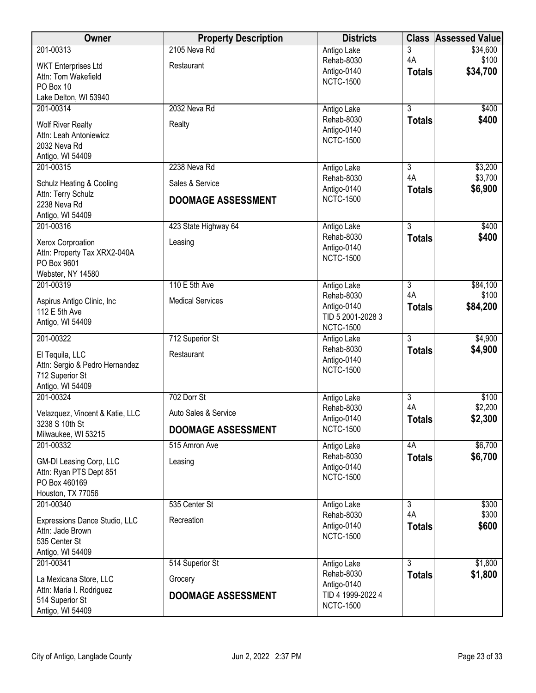| Owner                                                  | <b>Property Description</b> | <b>Districts</b>                | <b>Class</b>         | <b>Assessed Value</b> |
|--------------------------------------------------------|-----------------------------|---------------------------------|----------------------|-----------------------|
| 201-00313                                              | 2105 Neva Rd                | Antigo Lake                     | 3                    | \$34,600              |
| <b>WKT Enterprises Ltd</b>                             | Restaurant                  | Rehab-8030                      | 4A                   | \$100                 |
| Attn: Tom Wakefield                                    |                             | Antigo-0140<br><b>NCTC-1500</b> | <b>Totals</b>        | \$34,700              |
| PO Box 10                                              |                             |                                 |                      |                       |
| Lake Delton, WI 53940                                  |                             |                                 |                      |                       |
| 201-00314                                              | 2032 Neva Rd                | Antigo Lake                     | $\overline{3}$       | \$400                 |
| <b>Wolf River Realty</b>                               | Realty                      | Rehab-8030<br>Antigo-0140       | <b>Totals</b>        | \$400                 |
| Attn: Leah Antoniewicz                                 |                             | <b>NCTC-1500</b>                |                      |                       |
| 2032 Neva Rd                                           |                             |                                 |                      |                       |
| Antigo, WI 54409<br>201-00315                          | 2238 Neva Rd                | Antigo Lake                     | 3                    | \$3,200               |
|                                                        |                             | Rehab-8030                      | 4A                   | \$3,700               |
| Schulz Heating & Cooling                               | Sales & Service             | Antigo-0140                     | <b>Totals</b>        | \$6,900               |
| Attn: Terry Schulz<br>2238 Neva Rd<br>Antigo, WI 54409 | <b>DOOMAGE ASSESSMENT</b>   | <b>NCTC-1500</b>                |                      |                       |
| 201-00316                                              | 423 State Highway 64        | Antigo Lake                     | $\overline{3}$       | \$400                 |
| Xerox Corproation                                      | Leasing                     | Rehab-8030                      | <b>Totals</b>        | \$400                 |
| Attn: Property Tax XRX2-040A                           |                             | Antigo-0140<br><b>NCTC-1500</b> |                      |                       |
| PO Box 9601                                            |                             |                                 |                      |                       |
| Webster, NY 14580                                      |                             |                                 |                      |                       |
| 201-00319                                              | 110 E 5th Ave               | Antigo Lake<br>Rehab-8030       | $\overline{3}$<br>4A | \$84,100<br>\$100     |
| Aspirus Antigo Clinic, Inc                             | <b>Medical Services</b>     | Antigo-0140                     | <b>Totals</b>        | \$84,200              |
| 112 E 5th Ave                                          |                             | TID 5 2001-2028 3               |                      |                       |
| Antigo, WI 54409                                       |                             | <b>NCTC-1500</b>                |                      |                       |
| 201-00322                                              | 712 Superior St             | Antigo Lake                     | $\overline{3}$       | \$4,900               |
| El Tequila, LLC                                        | Restaurant                  | Rehab-8030                      | <b>Totals</b>        | \$4,900               |
| Attn: Sergio & Pedro Hernandez                         |                             | Antigo-0140<br><b>NCTC-1500</b> |                      |                       |
| 712 Superior St                                        |                             |                                 |                      |                       |
| Antigo, WI 54409<br>201-00324                          | 702 Dorr St                 | Antigo Lake                     | $\overline{3}$       | \$100                 |
|                                                        |                             | Rehab-8030                      | 4A                   | \$2,200               |
| Velazquez, Vincent & Katie, LLC                        | Auto Sales & Service        | Antigo-0140                     | <b>Totals</b>        | \$2,300               |
| 3238 S 10th St<br>Milwaukee, WI 53215                  | <b>DOOMAGE ASSESSMENT</b>   | <b>NCTC-1500</b>                |                      |                       |
| 201-00332                                              | 515 Amron Ave               | Antigo Lake                     | 4A                   | \$6,700               |
| GM-DI Leasing Corp, LLC                                | Leasing                     | Rehab-8030                      | <b>Totals</b>        | \$6,700               |
| Attn: Ryan PTS Dept 851                                |                             | Antigo-0140                     |                      |                       |
| PO Box 460169                                          |                             | <b>NCTC-1500</b>                |                      |                       |
| Houston, TX 77056                                      |                             |                                 |                      |                       |
| 201-00340                                              | 535 Center St               | Antigo Lake                     | $\overline{3}$       | \$300                 |
| Expressions Dance Studio, LLC                          | Recreation                  | Rehab-8030<br>Antigo-0140       | 4A                   | \$300<br>\$600        |
| Attn: Jade Brown                                       |                             | <b>NCTC-1500</b>                | <b>Totals</b>        |                       |
| 535 Center St                                          |                             |                                 |                      |                       |
| Antigo, WI 54409<br>201-00341                          | 514 Superior St             | Antigo Lake                     | $\overline{3}$       | \$1,800               |
|                                                        |                             | Rehab-8030                      | <b>Totals</b>        | \$1,800               |
| La Mexicana Store, LLC                                 | Grocery                     | Antigo-0140                     |                      |                       |
| Attn: Maria I. Rodriguez<br>514 Superior St            | <b>DOOMAGE ASSESSMENT</b>   | TID 4 1999-2022 4               |                      |                       |
| Antigo, WI 54409                                       |                             | <b>NCTC-1500</b>                |                      |                       |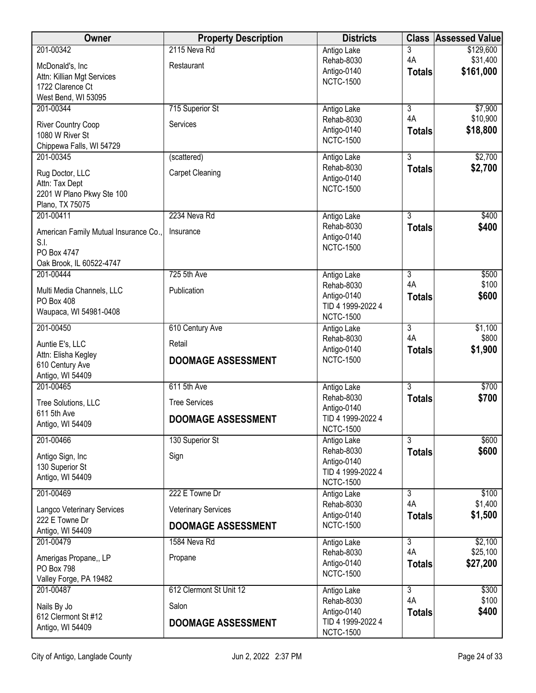| <b>Owner</b>                                  | <b>Property Description</b> | <b>Districts</b>                      | <b>Class</b>         | <b>Assessed Value</b> |
|-----------------------------------------------|-----------------------------|---------------------------------------|----------------------|-----------------------|
| 201-00342                                     | 2115 Neva Rd                | Antigo Lake                           | 3                    | \$129,600             |
| McDonald's, Inc                               | Restaurant                  | Rehab-8030                            | 4A                   | \$31,400              |
| Attn: Killian Mgt Services                    |                             | Antigo-0140<br><b>NCTC-1500</b>       | <b>Totals</b>        | \$161,000             |
| 1722 Clarence Ct                              |                             |                                       |                      |                       |
| West Bend, WI 53095                           |                             |                                       |                      |                       |
| 201-00344                                     | 715 Superior St             | Antigo Lake<br>Rehab-8030             | 3<br>4A              | \$7,900<br>\$10,900   |
| River Country Coop                            | Services                    | Antigo-0140                           | <b>Totals</b>        | \$18,800              |
| 1080 W River St                               |                             | <b>NCTC-1500</b>                      |                      |                       |
| Chippewa Falls, WI 54729<br>201-00345         | (scattered)                 | Antigo Lake                           | $\overline{3}$       | \$2,700               |
|                                               |                             | Rehab-8030                            | <b>Totals</b>        | \$2,700               |
| Rug Doctor, LLC                               | <b>Carpet Cleaning</b>      | Antigo-0140                           |                      |                       |
| Attn: Tax Dept<br>2201 W Plano Pkwy Ste 100   |                             | <b>NCTC-1500</b>                      |                      |                       |
| Plano, TX 75075                               |                             |                                       |                      |                       |
| 201-00411                                     | 2234 Neva Rd                | Antigo Lake                           | $\overline{3}$       | \$400                 |
|                                               |                             | Rehab-8030                            | <b>Totals</b>        | \$400                 |
| American Family Mutual Insurance Co.,<br>S.I. | Insurance                   | Antigo-0140                           |                      |                       |
| PO Box 4747                                   |                             | <b>NCTC-1500</b>                      |                      |                       |
| Oak Brook, IL 60522-4747                      |                             |                                       |                      |                       |
| 201-00444                                     | 725 5th Ave                 | Antigo Lake                           | 3                    | \$500                 |
| Multi Media Channels, LLC                     | Publication                 | Rehab-8030                            | 4A                   | \$100                 |
| PO Box 408                                    |                             | Antigo-0140                           | <b>Totals</b>        | \$600                 |
| Waupaca, WI 54981-0408                        |                             | TID 4 1999-2022 4<br><b>NCTC-1500</b> |                      |                       |
| 201-00450                                     | 610 Century Ave             | Antigo Lake                           | $\overline{3}$       | \$1,100               |
|                                               |                             | Rehab-8030                            | 4A                   | \$800                 |
| Auntie E's, LLC                               | Retail                      | Antigo-0140                           | <b>Totals</b>        | \$1,900               |
| Attn: Elisha Kegley<br>610 Century Ave        | <b>DOOMAGE ASSESSMENT</b>   | <b>NCTC-1500</b>                      |                      |                       |
| Antigo, WI 54409                              |                             |                                       |                      |                       |
| 201-00465                                     | 611 5th Ave                 | Antigo Lake                           | $\overline{3}$       | \$700                 |
| Tree Solutions, LLC                           | <b>Tree Services</b>        | Rehab-8030                            | <b>Totals</b>        | \$700                 |
| 611 5th Ave                                   |                             | Antigo-0140                           |                      |                       |
| Antigo, WI 54409                              | <b>DOOMAGE ASSESSMENT</b>   | TID 4 1999-2022 4<br><b>NCTC-1500</b> |                      |                       |
| 201-00466                                     | 130 Superior St             | Antigo Lake                           | $\overline{3}$       | \$600                 |
|                                               |                             | Rehab-8030                            | <b>Totals</b>        | \$600                 |
| Antigo Sign, Inc                              | Sign                        | Antigo-0140                           |                      |                       |
| 130 Superior St<br>Antigo, WI 54409           |                             | TID 4 1999-2022 4                     |                      |                       |
|                                               |                             | <b>NCTC-1500</b>                      |                      |                       |
| 201-00469                                     | 222 E Towne Dr              | Antigo Lake<br>Rehab-8030             | $\overline{3}$<br>4A | \$100<br>\$1,400      |
| Langco Veterinary Services                    | <b>Veterinary Services</b>  | Antigo-0140                           | <b>Totals</b>        | \$1,500               |
| 222 E Towne Dr                                | <b>DOOMAGE ASSESSMENT</b>   | <b>NCTC-1500</b>                      |                      |                       |
| Antigo, WI 54409                              |                             |                                       |                      |                       |
| 201-00479                                     | 1584 Neva Rd                | Antigo Lake<br>Rehab-8030             | 3<br>4A              | \$2,100<br>\$25,100   |
| Amerigas Propane,, LP                         | Propane                     | Antigo-0140                           | <b>Totals</b>        | \$27,200              |
| PO Box 798                                    |                             | <b>NCTC-1500</b>                      |                      |                       |
| Valley Forge, PA 19482<br>201-00487           | 612 Clermont St Unit 12     | Antigo Lake                           | $\overline{3}$       | \$300                 |
|                                               |                             | Rehab-8030                            | 4A                   | \$100                 |
| Nails By Jo                                   | Salon                       | Antigo-0140                           | <b>Totals</b>        | \$400                 |
| 612 Clermont St #12<br>Antigo, WI 54409       | <b>DOOMAGE ASSESSMENT</b>   | TID 4 1999-2022 4                     |                      |                       |
|                                               |                             | <b>NCTC-1500</b>                      |                      |                       |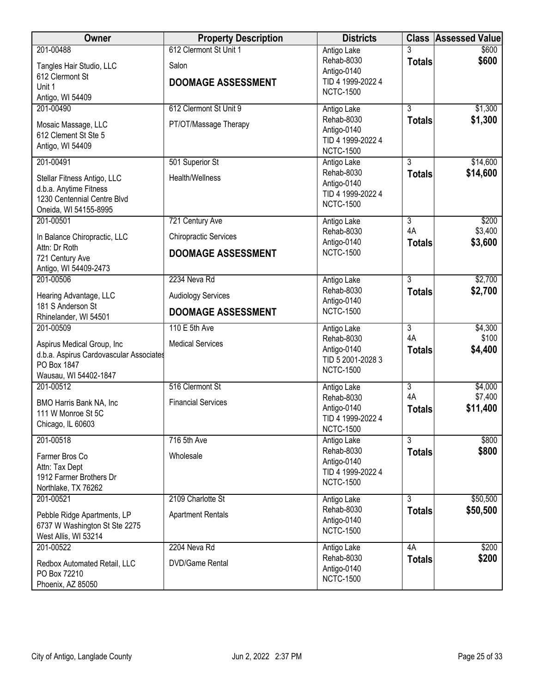| Owner                                                                                                                      | <b>Property Description</b>                                                  | <b>Districts</b>                                                                  |                                       | <b>Class Assessed Value</b>    |
|----------------------------------------------------------------------------------------------------------------------------|------------------------------------------------------------------------------|-----------------------------------------------------------------------------------|---------------------------------------|--------------------------------|
| 201-00488<br>Tangles Hair Studio, LLC<br>612 Clermont St<br>Unit 1<br>Antigo, WI 54409                                     | 612 Clermont St Unit 1<br>Salon<br><b>DOOMAGE ASSESSMENT</b>                 | Antigo Lake<br>Rehab-8030<br>Antigo-0140<br>TID 4 1999-2022 4<br><b>NCTC-1500</b> | <b>Totals</b>                         | \$600<br>\$600                 |
| 201-00490<br>Mosaic Massage, LLC<br>612 Clement St Ste 5<br>Antigo, WI 54409                                               | 612 Clermont St Unit 9<br>PT/OT/Massage Therapy                              | Antigo Lake<br>Rehab-8030<br>Antigo-0140<br>TID 4 1999-2022 4<br><b>NCTC-1500</b> | $\overline{3}$<br><b>Totals</b>       | \$1,300<br>\$1,300             |
| 201-00491<br>Stellar Fitness Antigo, LLC<br>d.b.a. Anytime Fitness<br>1230 Centennial Centre Blvd<br>Oneida, WI 54155-8995 | 501 Superior St<br>Health/Wellness                                           | Antigo Lake<br>Rehab-8030<br>Antigo-0140<br>TID 4 1999-2022 4<br><b>NCTC-1500</b> | $\overline{3}$<br><b>Totals</b>       | \$14,600<br>\$14,600           |
| 201-00501<br>In Balance Chiropractic, LLC<br>Attn: Dr Roth<br>721 Century Ave<br>Antigo, WI 54409-2473                     | 721 Century Ave<br><b>Chiropractic Services</b><br><b>DOOMAGE ASSESSMENT</b> | Antigo Lake<br>Rehab-8030<br>Antigo-0140<br><b>NCTC-1500</b>                      | 3<br>4A<br><b>Totals</b>              | \$200<br>\$3,400<br>\$3,600    |
| 201-00506<br>Hearing Advantage, LLC<br>181 S Anderson St<br>Rhinelander, WI 54501                                          | 2234 Neva Rd<br><b>Audiology Services</b><br><b>DOOMAGE ASSESSMENT</b>       | Antigo Lake<br>Rehab-8030<br>Antigo-0140<br><b>NCTC-1500</b>                      | 3<br><b>Totals</b>                    | \$2,700<br>\$2,700             |
| 201-00509<br>Aspirus Medical Group, Inc<br>d.b.a. Aspirus Cardovascular Associates<br>PO Box 1847<br>Wausau, WI 54402-1847 | 110 E 5th Ave<br><b>Medical Services</b>                                     | Antigo Lake<br>Rehab-8030<br>Antigo-0140<br>TID 5 2001-2028 3<br><b>NCTC-1500</b> | $\overline{3}$<br>4A<br><b>Totals</b> | \$4,300<br>\$100<br>\$4,400    |
| 201-00512<br>BMO Harris Bank NA, Inc<br>111 W Monroe St 5C<br>Chicago, IL 60603                                            | 516 Clermont St<br><b>Financial Services</b>                                 | Antigo Lake<br>Rehab-8030<br>Antigo-0140<br>TID 4 1999-2022 4<br><b>NCTC-1500</b> | $\overline{3}$<br>4A<br><b>Totals</b> | \$4,000<br>\$7,400<br>\$11,400 |
| 201-00518<br>Farmer Bros Co<br>Attn: Tax Dept<br>1912 Farmer Brothers Dr<br>Northlake, TX 76262                            | 716 5th Ave<br>Wholesale                                                     | Antigo Lake<br>Rehab-8030<br>Antigo-0140<br>TID 4 1999-2022 4<br><b>NCTC-1500</b> | $\overline{3}$<br><b>Totals</b>       | \$800<br>\$800                 |
| 201-00521<br>Pebble Ridge Apartments, LP<br>6737 W Washington St Ste 2275<br>West Allis, WI 53214                          | 2109 Charlotte St<br><b>Apartment Rentals</b>                                | Antigo Lake<br>Rehab-8030<br>Antigo-0140<br><b>NCTC-1500</b>                      | 3<br><b>Totals</b>                    | \$50,500<br>\$50,500           |
| 201-00522<br>Redbox Automated Retail, LLC<br>PO Box 72210<br>Phoenix, AZ 85050                                             | 2204 Neva Rd<br><b>DVD/Game Rental</b>                                       | Antigo Lake<br>Rehab-8030<br>Antigo-0140<br><b>NCTC-1500</b>                      | 4A<br><b>Totals</b>                   | \$200<br>\$200                 |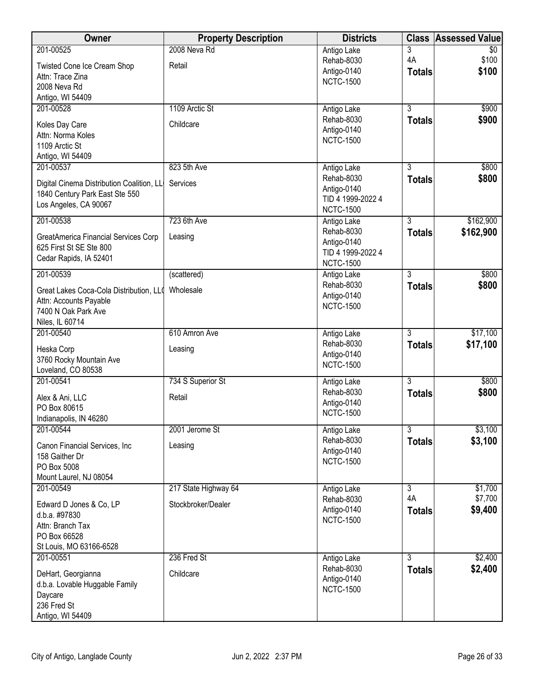| Owner                                     | <b>Property Description</b> | <b>Districts</b>                 | <b>Class</b>         | <b>Assessed Value</b> |
|-------------------------------------------|-----------------------------|----------------------------------|----------------------|-----------------------|
| 201-00525                                 | 2008 Neva Rd                | Antigo Lake                      | 3                    | \$0                   |
| Twisted Cone Ice Cream Shop               | Retail                      | Rehab-8030<br>Antigo-0140        | 4A                   | \$100<br>\$100        |
| Attn: Trace Zina                          |                             | <b>NCTC-1500</b>                 | <b>Totals</b>        |                       |
| 2008 Neva Rd<br>Antigo, WI 54409          |                             |                                  |                      |                       |
| 201-00528                                 | 1109 Arctic St              | Antigo Lake                      | $\overline{3}$       | \$900                 |
|                                           | Childcare                   | Rehab-8030                       | <b>Totals</b>        | \$900                 |
| Koles Day Care<br>Attn: Norma Koles       |                             | Antigo-0140                      |                      |                       |
| 1109 Arctic St                            |                             | <b>NCTC-1500</b>                 |                      |                       |
| Antigo, WI 54409                          |                             |                                  |                      |                       |
| 201-00537                                 | 823 5th Ave                 | Antigo Lake                      | $\overline{3}$       | \$800                 |
| Digital Cinema Distribution Coalition, LL | Services                    | Rehab-8030<br>Antigo-0140        | <b>Totals</b>        | \$800                 |
| 1840 Century Park East Ste 550            |                             | TID 4 1999-2022 4                |                      |                       |
| Los Angeles, CA 90067                     |                             | <b>NCTC-1500</b>                 |                      |                       |
| 201-00538                                 | 723 6th Ave                 | Antigo Lake                      | $\overline{3}$       | \$162,900             |
| GreatAmerica Financial Services Corp      | Leasing                     | Rehab-8030                       | <b>Totals</b>        | \$162,900             |
| 625 First St SE Ste 800                   |                             | Antigo-0140<br>TID 4 1999-2022 4 |                      |                       |
| Cedar Rapids, IA 52401                    |                             | <b>NCTC-1500</b>                 |                      |                       |
| 201-00539                                 | (scattered)                 | Antigo Lake                      | $\overline{3}$       | \$800                 |
| Great Lakes Coca-Cola Distribution, LL(   | Wholesale                   | Rehab-8030                       | <b>Totals</b>        | \$800                 |
| Attn: Accounts Payable                    |                             | Antigo-0140                      |                      |                       |
| 7400 N Oak Park Ave                       |                             | <b>NCTC-1500</b>                 |                      |                       |
| Niles, IL 60714                           |                             |                                  |                      |                       |
| 201-00540                                 | 610 Amron Ave               | Antigo Lake<br>Rehab-8030        | $\overline{3}$       | \$17,100<br>\$17,100  |
| Heska Corp                                | Leasing                     | Antigo-0140                      | <b>Totals</b>        |                       |
| 3760 Rocky Mountain Ave                   |                             | <b>NCTC-1500</b>                 |                      |                       |
| Loveland, CO 80538<br>201-00541           | 734 S Superior St           | Antigo Lake                      | $\overline{3}$       | \$800                 |
|                                           |                             | Rehab-8030                       | <b>Totals</b>        | \$800                 |
| Alex & Ani, LLC<br>PO Box 80615           | Retail                      | Antigo-0140                      |                      |                       |
| Indianapolis, IN 46280                    |                             | <b>NCTC-1500</b>                 |                      |                       |
| 201-00544                                 | 2001 Jerome St              | Antigo Lake                      | $\overline{3}$       | \$3,100               |
| Canon Financial Services, Inc.            | Leasing                     | Rehab-8030                       | <b>Totals</b>        | \$3,100               |
| 158 Gaither Dr                            |                             | Antigo-0140                      |                      |                       |
| PO Box 5008                               |                             | <b>NCTC-1500</b>                 |                      |                       |
| Mount Laurel, NJ 08054                    |                             |                                  |                      |                       |
| 201-00549                                 | 217 State Highway 64        | Antigo Lake<br>Rehab-8030        | $\overline{3}$<br>4A | \$1,700<br>\$7,700    |
| Edward D Jones & Co, LP                   | Stockbroker/Dealer          | Antigo-0140                      | <b>Totals</b>        | \$9,400               |
| d.b.a. #97830<br>Attn: Branch Tax         |                             | <b>NCTC-1500</b>                 |                      |                       |
| PO Box 66528                              |                             |                                  |                      |                       |
| St Louis, MO 63166-6528                   |                             |                                  |                      |                       |
| 201-00551                                 | 236 Fred St                 | Antigo Lake                      | $\overline{3}$       | \$2,400               |
| DeHart, Georgianna                        | Childcare                   | Rehab-8030                       | <b>Totals</b>        | \$2,400               |
| d.b.a. Lovable Huggable Family            |                             | Antigo-0140<br><b>NCTC-1500</b>  |                      |                       |
| Daycare                                   |                             |                                  |                      |                       |
| 236 Fred St                               |                             |                                  |                      |                       |
| Antigo, WI 54409                          |                             |                                  |                      |                       |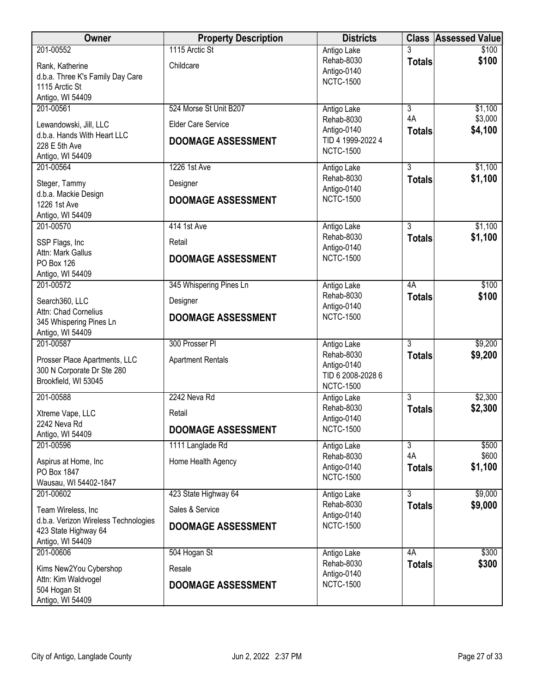| <b>Owner</b>                                                | <b>Property Description</b> | <b>Districts</b>                |                | <b>Class Assessed Value</b> |
|-------------------------------------------------------------|-----------------------------|---------------------------------|----------------|-----------------------------|
| 201-00552                                                   | 1115 Arctic St              | Antigo Lake                     |                | \$100                       |
| Rank, Katherine                                             | Childcare                   | Rehab-8030                      | <b>Totals</b>  | \$100                       |
| d.b.a. Three K's Family Day Care                            |                             | Antigo-0140<br><b>NCTC-1500</b> |                |                             |
| 1115 Arctic St                                              |                             |                                 |                |                             |
| Antigo, WI 54409                                            |                             |                                 |                |                             |
| 201-00561                                                   | 524 Morse St Unit B207      | Antigo Lake                     | $\overline{3}$ | \$1,100                     |
| Lewandowski, Jill, LLC                                      | <b>Elder Care Service</b>   | Rehab-8030                      | 4A             | \$3,000                     |
| d.b.a. Hands With Heart LLC                                 |                             | Antigo-0140                     | <b>Totals</b>  | \$4,100                     |
| 228 E 5th Ave                                               | <b>DOOMAGE ASSESSMENT</b>   | TID 4 1999-2022 4               |                |                             |
| Antigo, WI 54409                                            |                             | <b>NCTC-1500</b>                |                |                             |
| 201-00564                                                   | 1226 1st Ave                | Antigo Lake                     | $\overline{3}$ | \$1,100                     |
| Steger, Tammy                                               | Designer                    | Rehab-8030                      | <b>Totals</b>  | \$1,100                     |
| d.b.a. Mackie Design                                        |                             | Antigo-0140                     |                |                             |
| 1226 1st Ave                                                | <b>DOOMAGE ASSESSMENT</b>   | <b>NCTC-1500</b>                |                |                             |
| Antigo, WI 54409                                            |                             |                                 |                |                             |
| 201-00570                                                   | 414 1st Ave                 | Antigo Lake                     | $\overline{3}$ | \$1,100                     |
| SSP Flags, Inc                                              | Retail                      | Rehab-8030                      | <b>Totals</b>  | \$1,100                     |
| Attn: Mark Gallus                                           |                             | Antigo-0140                     |                |                             |
| <b>PO Box 126</b>                                           | <b>DOOMAGE ASSESSMENT</b>   | <b>NCTC-1500</b>                |                |                             |
| Antigo, WI 54409                                            |                             |                                 |                |                             |
| 201-00572                                                   | 345 Whispering Pines Ln     | Antigo Lake                     | 4A             | \$100                       |
| Search360, LLC                                              | Designer                    | Rehab-8030                      | <b>Totals</b>  | \$100                       |
| Attn: Chad Cornelius                                        |                             | Antigo-0140                     |                |                             |
| 345 Whispering Pines Ln                                     | <b>DOOMAGE ASSESSMENT</b>   | <b>NCTC-1500</b>                |                |                             |
| Antigo, WI 54409                                            |                             |                                 |                |                             |
| 201-00587                                                   | 300 Prosser PI              | Antigo Lake                     | $\overline{3}$ | \$9,200                     |
|                                                             |                             | Rehab-8030                      | <b>Totals</b>  | \$9,200                     |
| Prosser Place Apartments, LLC<br>300 N Corporate Dr Ste 280 | <b>Apartment Rentals</b>    | Antigo-0140                     |                |                             |
| Brookfield, WI 53045                                        |                             | TID 6 2008-2028 6               |                |                             |
|                                                             |                             | <b>NCTC-1500</b>                |                |                             |
| 201-00588                                                   | 2242 Neva Rd                | Antigo Lake                     | $\overline{3}$ | \$2,300                     |
| Xtreme Vape, LLC                                            | Retail                      | Rehab-8030                      | <b>Totals</b>  | \$2,300                     |
| 2242 Neva Rd                                                | <b>DOOMAGE ASSESSMENT</b>   | Antigo-0140<br><b>NCTC-1500</b> |                |                             |
| Antigo, WI 54409                                            |                             |                                 |                |                             |
| 201-00596                                                   | 1111 Langlade Rd            | Antigo Lake                     | 3              | \$500                       |
| Aspirus at Home, Inc                                        | Home Health Agency          | Rehab-8030                      | 4A             | \$600                       |
| PO Box 1847                                                 |                             | Antigo-0140<br><b>NCTC-1500</b> | <b>Totals</b>  | \$1,100                     |
| Wausau, WI 54402-1847                                       |                             |                                 |                |                             |
| 201-00602                                                   | 423 State Highway 64        | Antigo Lake                     | $\overline{3}$ | \$9,000                     |
| Team Wireless, Inc                                          | Sales & Service             | Rehab-8030                      | <b>Totals</b>  | \$9,000                     |
| d.b.a. Verizon Wireless Technologies                        |                             | Antigo-0140                     |                |                             |
| 423 State Highway 64                                        | <b>DOOMAGE ASSESSMENT</b>   | <b>NCTC-1500</b>                |                |                             |
| Antigo, WI 54409                                            |                             |                                 |                |                             |
| 201-00606                                                   | 504 Hogan St                | Antigo Lake                     | 4A             | \$300                       |
| Kims New2You Cybershop                                      | Resale                      | Rehab-8030                      | <b>Totals</b>  | \$300                       |
| Attn: Kim Waldvogel                                         |                             | Antigo-0140                     |                |                             |
| 504 Hogan St                                                | <b>DOOMAGE ASSESSMENT</b>   | <b>NCTC-1500</b>                |                |                             |
| Antigo, WI 54409                                            |                             |                                 |                |                             |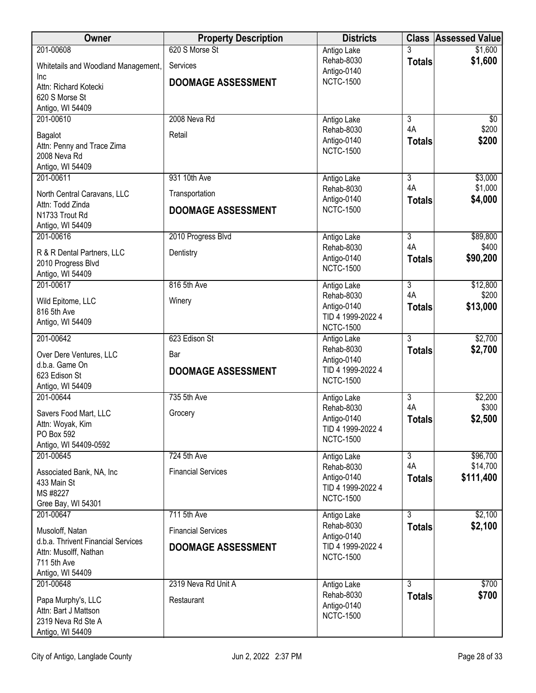| Owner                                                 | <b>Property Description</b> | <b>Districts</b>                      |                     | <b>Class Assessed Value</b> |
|-------------------------------------------------------|-----------------------------|---------------------------------------|---------------------|-----------------------------|
| 201-00608                                             | 620 S Morse St              | Antigo Lake                           |                     | \$1,600                     |
| Whitetails and Woodland Management,                   | Services                    | Rehab-8030<br>Antigo-0140             | <b>Totals</b>       | \$1,600                     |
| <b>Inc</b><br>Attn: Richard Kotecki                   | <b>DOOMAGE ASSESSMENT</b>   | <b>NCTC-1500</b>                      |                     |                             |
| 620 S Morse St                                        |                             |                                       |                     |                             |
| Antigo, WI 54409                                      |                             |                                       |                     |                             |
| 201-00610                                             | 2008 Neva Rd                | Antigo Lake                           | $\overline{3}$      | \$0                         |
| Bagalot                                               | Retail                      | Rehab-8030<br>Antigo-0140             | 4A<br><b>Totals</b> | \$200<br>\$200              |
| Attn: Penny and Trace Zima                            |                             | <b>NCTC-1500</b>                      |                     |                             |
| 2008 Neva Rd<br>Antigo, WI 54409                      |                             |                                       |                     |                             |
| 201-00611                                             | 931 10th Ave                | Antigo Lake                           | $\overline{3}$      | \$3,000                     |
| North Central Caravans, LLC                           | Transportation              | Rehab-8030                            | 4A                  | \$1,000                     |
| Attn: Todd Zinda                                      | <b>DOOMAGE ASSESSMENT</b>   | Antigo-0140<br><b>NCTC-1500</b>       | <b>Totals</b>       | \$4,000                     |
| N1733 Trout Rd                                        |                             |                                       |                     |                             |
| Antigo, WI 54409<br>201-00616                         | 2010 Progress Blvd          | Antigo Lake                           | $\overline{3}$      | \$89,800                    |
|                                                       |                             | Rehab-8030                            | 4A                  | \$400                       |
| R & R Dental Partners, LLC<br>2010 Progress Blvd      | Dentistry                   | Antigo-0140                           | <b>Totals</b>       | \$90,200                    |
| Antigo, WI 54409                                      |                             | <b>NCTC-1500</b>                      |                     |                             |
| 201-00617                                             | 816 5th Ave                 | Antigo Lake                           | $\overline{3}$      | \$12,800                    |
| Wild Epitome, LLC                                     | Winery                      | Rehab-8030<br>Antigo-0140             | 4A                  | \$200<br>\$13,000           |
| 816 5th Ave                                           |                             | TID 4 1999-2022 4                     | <b>Totals</b>       |                             |
| Antigo, WI 54409                                      |                             | <b>NCTC-1500</b>                      |                     |                             |
| 201-00642                                             | 623 Edison St               | Antigo Lake                           | $\overline{3}$      | \$2,700                     |
| Over Dere Ventures, LLC                               | Bar                         | Rehab-8030<br>Antigo-0140             | <b>Totals</b>       | \$2,700                     |
| d.b.a. Game On<br>623 Edison St                       | <b>DOOMAGE ASSESSMENT</b>   | TID 4 1999-2022 4                     |                     |                             |
| Antigo, WI 54409                                      |                             | <b>NCTC-1500</b>                      |                     |                             |
| 201-00644                                             | 735 5th Ave                 | Antigo Lake                           | $\overline{3}$      | \$2,200                     |
| Savers Food Mart, LLC                                 | Grocery                     | Rehab-8030                            | 4A                  | \$300                       |
| Attn: Woyak, Kim                                      |                             | Antigo-0140<br>TID 4 1999-2022 4      | <b>Totals</b>       | \$2,500                     |
| PO Box 592<br>Antigo, WI 54409-0592                   |                             | <b>NCTC-1500</b>                      |                     |                             |
| 201-00645                                             | <b>724 5th Ave</b>          | Antigo Lake                           | $\overline{3}$      | \$96,700                    |
| Associated Bank, NA, Inc                              | <b>Financial Services</b>   | Rehab-8030                            | 4A                  | \$14,700                    |
| 433 Main St                                           |                             | Antigo-0140<br>TID 4 1999-2022 4      | <b>Totals</b>       | \$111,400                   |
| MS #8227                                              |                             | <b>NCTC-1500</b>                      |                     |                             |
| Gree Bay, WI 54301<br>201-00647                       | 711 5th Ave                 | Antigo Lake                           | $\overline{3}$      | \$2,100                     |
|                                                       |                             | Rehab-8030                            | <b>Totals</b>       | \$2,100                     |
| Musoloff, Natan<br>d.b.a. Thrivent Financial Services | <b>Financial Services</b>   | Antigo-0140                           |                     |                             |
| Attn: Musolff, Nathan                                 | <b>DOOMAGE ASSESSMENT</b>   | TID 4 1999-2022 4<br><b>NCTC-1500</b> |                     |                             |
| 711 5th Ave                                           |                             |                                       |                     |                             |
| Antigo, WI 54409<br>201-00648                         | 2319 Neva Rd Unit A         | Antigo Lake                           | $\overline{3}$      | \$700                       |
|                                                       |                             | Rehab-8030                            | <b>Totals</b>       | \$700                       |
| Papa Murphy's, LLC<br>Attn: Bart J Mattson            | Restaurant                  | Antigo-0140                           |                     |                             |
| 2319 Neva Rd Ste A                                    |                             | <b>NCTC-1500</b>                      |                     |                             |
| Antigo, WI 54409                                      |                             |                                       |                     |                             |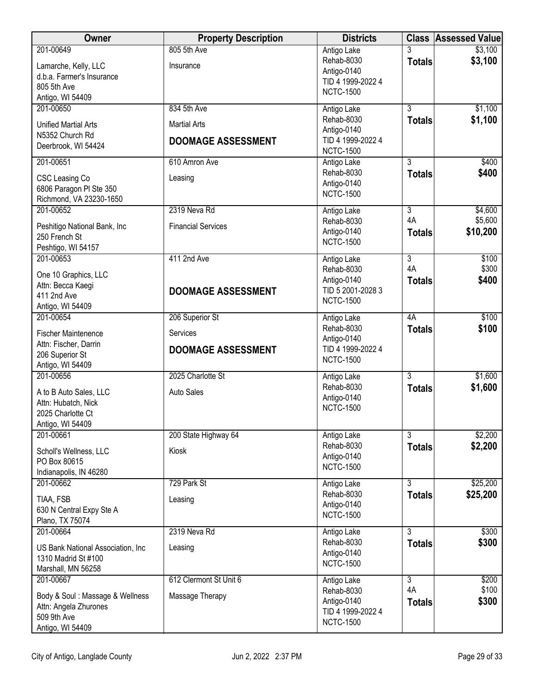| Owner                                              | <b>Property Description</b> | <b>Districts</b>                 |                                 | <b>Class Assessed Value</b> |
|----------------------------------------------------|-----------------------------|----------------------------------|---------------------------------|-----------------------------|
| 201-00649                                          | 805 5th Ave                 | Antigo Lake                      | 3                               | \$3,100                     |
| Lamarche, Kelly, LLC                               | Insurance                   | Rehab-8030                       | <b>Totals</b>                   | \$3,100                     |
| d.b.a. Farmer's Insurance                          |                             | Antigo-0140<br>TID 4 1999-2022 4 |                                 |                             |
| 805 5th Ave                                        |                             | <b>NCTC-1500</b>                 |                                 |                             |
| Antigo, WI 54409<br>201-00650                      | 834 5th Ave                 | Antigo Lake                      | $\overline{3}$                  | \$1,100                     |
|                                                    |                             | Rehab-8030                       | <b>Totals</b>                   | \$1,100                     |
| <b>Unified Martial Arts</b><br>N5352 Church Rd     | <b>Martial Arts</b>         | Antigo-0140                      |                                 |                             |
| Deerbrook, WI 54424                                | <b>DOOMAGE ASSESSMENT</b>   | TID 4 1999-2022 4                |                                 |                             |
|                                                    |                             | <b>NCTC-1500</b>                 |                                 |                             |
| 201-00651                                          | 610 Amron Ave               | Antigo Lake<br>Rehab-8030        | $\overline{3}$<br><b>Totals</b> | \$400<br>\$400              |
| CSC Leasing Co                                     | Leasing                     | Antigo-0140                      |                                 |                             |
| 6806 Paragon PI Ste 350<br>Richmond, VA 23230-1650 |                             | <b>NCTC-1500</b>                 |                                 |                             |
| 201-00652                                          | 2319 Neva Rd                | Antigo Lake                      | $\overline{3}$                  | \$4,600                     |
|                                                    |                             | Rehab-8030                       | 4A                              | \$5,600                     |
| Peshitigo National Bank, Inc<br>250 French St      | <b>Financial Services</b>   | Antigo-0140                      | <b>Totals</b>                   | \$10,200                    |
| Peshtigo, WI 54157                                 |                             | <b>NCTC-1500</b>                 |                                 |                             |
| 201-00653                                          | 411 2nd Ave                 | Antigo Lake                      | $\overline{3}$                  | \$100                       |
| One 10 Graphics, LLC                               |                             | Rehab-8030                       | 4A                              | \$300                       |
| Attn: Becca Kaegi                                  |                             | Antigo-0140<br>TID 5 2001-2028 3 | <b>Totals</b>                   | \$400                       |
| 411 2nd Ave                                        | <b>DOOMAGE ASSESSMENT</b>   | <b>NCTC-1500</b>                 |                                 |                             |
| Antigo, WI 54409                                   |                             |                                  |                                 |                             |
| 201-00654                                          | 206 Superior St             | Antigo Lake<br>Rehab-8030        | 4A                              | \$100                       |
| <b>Fischer Maintenence</b>                         | Services                    | Antigo-0140                      | <b>Totals</b>                   | \$100                       |
| Attn: Fischer, Darrin                              | <b>DOOMAGE ASSESSMENT</b>   | TID 4 1999-2022 4                |                                 |                             |
| 206 Superior St<br>Antigo, WI 54409                |                             | <b>NCTC-1500</b>                 |                                 |                             |
| 201-00656                                          | 2025 Charlotte St           | Antigo Lake                      | $\overline{3}$                  | \$1,600                     |
| A to B Auto Sales, LLC                             | <b>Auto Sales</b>           | Rehab-8030                       | <b>Totals</b>                   | \$1,600                     |
| Attn: Hubatch, Nick                                |                             | Antigo-0140                      |                                 |                             |
| 2025 Charlotte Ct                                  |                             | <b>NCTC-1500</b>                 |                                 |                             |
| Antigo, WI 54409                                   |                             |                                  |                                 |                             |
| 201-00661                                          | 200 State Highway 64        | Antigo Lake                      | 3                               | \$2,200                     |
| Scholl's Wellness, LLC                             | Kiosk                       | Rehab-8030<br>Antigo-0140        | <b>Totals</b>                   | \$2,200                     |
| PO Box 80615                                       |                             | <b>NCTC-1500</b>                 |                                 |                             |
| Indianapolis, IN 46280<br>201-00662                | 729 Park St                 | Antigo Lake                      | $\overline{3}$                  | \$25,200                    |
|                                                    |                             | Rehab-8030                       | <b>Totals</b>                   | \$25,200                    |
| TIAA, FSB<br>630 N Central Expy Ste A              | Leasing                     | Antigo-0140                      |                                 |                             |
| Plano, TX 75074                                    |                             | <b>NCTC-1500</b>                 |                                 |                             |
| 201-00664                                          | 2319 Neva Rd                | Antigo Lake                      | $\overline{3}$                  | \$300                       |
| US Bank National Association, Inc.                 | Leasing                     | Rehab-8030                       | <b>Totals</b>                   | \$300                       |
| 1310 Madrid St #100                                |                             | Antigo-0140                      |                                 |                             |
| Marshall, MN 56258                                 |                             | <b>NCTC-1500</b>                 |                                 |                             |
| 201-00667                                          | 612 Clermont St Unit 6      | Antigo Lake                      | $\overline{3}$                  | \$200                       |
| Body & Soul: Massage & Wellness                    | Massage Therapy             | Rehab-8030                       | 4A                              | \$100                       |
| Attn: Angela Zhurones                              |                             | Antigo-0140<br>TID 4 1999-2022 4 | <b>Totals</b>                   | \$300                       |
| 509 9th Ave                                        |                             | <b>NCTC-1500</b>                 |                                 |                             |
| Antigo, WI 54409                                   |                             |                                  |                                 |                             |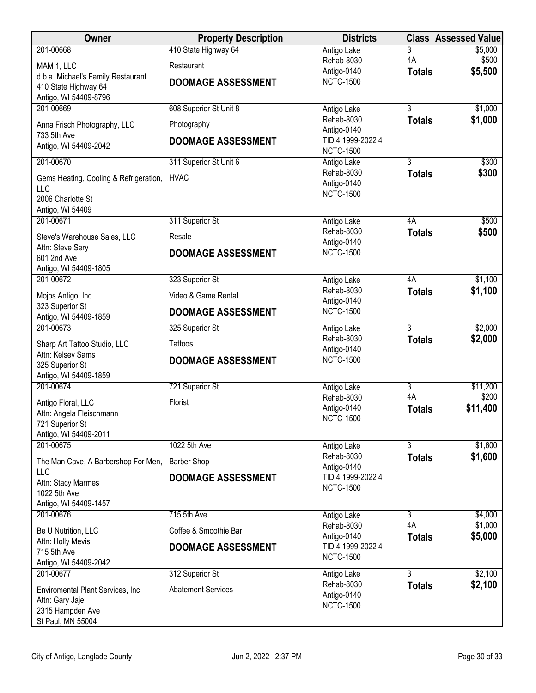| <b>Owner</b>                                         | <b>Property Description</b> | <b>Districts</b>                      | <b>Class</b>   | <b>Assessed Value</b> |
|------------------------------------------------------|-----------------------------|---------------------------------------|----------------|-----------------------|
| 201-00668                                            | 410 State Highway 64        | Antigo Lake                           | 3<br>4A        | \$5,000               |
| MAM 1, LLC                                           | Restaurant                  | Rehab-8030<br>Antigo-0140             | <b>Totals</b>  | \$500<br>\$5,500      |
| d.b.a. Michael's Family Restaurant                   | <b>DOOMAGE ASSESSMENT</b>   | <b>NCTC-1500</b>                      |                |                       |
| 410 State Highway 64<br>Antigo, WI 54409-8796        |                             |                                       |                |                       |
| 201-00669                                            | 608 Superior St Unit 8      | Antigo Lake                           | $\overline{3}$ | \$1,000               |
| Anna Frisch Photography, LLC                         | Photography                 | Rehab-8030                            | <b>Totals</b>  | \$1,000               |
| 733 5th Ave                                          | <b>DOOMAGE ASSESSMENT</b>   | Antigo-0140<br>TID 4 1999-2022 4      |                |                       |
| Antigo, WI 54409-2042                                |                             | <b>NCTC-1500</b>                      |                |                       |
| 201-00670                                            | 311 Superior St Unit 6      | Antigo Lake                           | $\overline{3}$ | \$300                 |
| Gems Heating, Cooling & Refrigeration,               | <b>HVAC</b>                 | Rehab-8030                            | <b>Totals</b>  | \$300                 |
| <b>LLC</b>                                           |                             | Antigo-0140<br><b>NCTC-1500</b>       |                |                       |
| 2006 Charlotte St<br>Antigo, WI 54409                |                             |                                       |                |                       |
| 201-00671                                            | 311 Superior St             | Antigo Lake                           | 4A             | \$500                 |
| Steve's Warehouse Sales, LLC                         | Resale                      | Rehab-8030                            | <b>Totals</b>  | \$500                 |
| Attn: Steve Sery                                     |                             | Antigo-0140                           |                |                       |
| 601 2nd Ave                                          | <b>DOOMAGE ASSESSMENT</b>   | <b>NCTC-1500</b>                      |                |                       |
| Antigo, WI 54409-1805<br>201-00672                   | 323 Superior St             | Antigo Lake                           | 4A             | \$1,100               |
|                                                      |                             | Rehab-8030                            | <b>Totals</b>  | \$1,100               |
| Mojos Antigo, Inc<br>323 Superior St                 | Video & Game Rental         | Antigo-0140                           |                |                       |
| Antigo, WI 54409-1859                                | <b>DOOMAGE ASSESSMENT</b>   | <b>NCTC-1500</b>                      |                |                       |
| 201-00673                                            | 325 Superior St             | Antigo Lake                           | $\overline{3}$ | \$2,000               |
| Sharp Art Tattoo Studio, LLC                         | Tattoos                     | Rehab-8030<br>Antigo-0140             | <b>Totals</b>  | \$2,000               |
| Attn: Kelsey Sams                                    | <b>DOOMAGE ASSESSMENT</b>   | <b>NCTC-1500</b>                      |                |                       |
| 325 Superior St<br>Antigo, WI 54409-1859             |                             |                                       |                |                       |
| 201-00674                                            | 721 Superior St             | Antigo Lake                           | $\overline{3}$ | \$11,200              |
| Antigo Floral, LLC                                   | Florist                     | Rehab-8030                            | 4A             | \$200                 |
| Attn: Angela Fleischmann                             |                             | Antigo-0140<br><b>NCTC-1500</b>       | <b>Totals</b>  | \$11,400              |
| 721 Superior St                                      |                             |                                       |                |                       |
| Antigo, WI 54409-2011<br>201-00675                   | 1022 5th Ave                | Antigo Lake                           | 3              | \$1,600               |
| The Man Cave, A Barbershop For Men,                  | <b>Barber Shop</b>          | Rehab-8030                            | <b>Totals</b>  | \$1,600               |
| <b>LLC</b>                                           |                             | Antigo-0140                           |                |                       |
| Attn: Stacy Marmes                                   | <b>DOOMAGE ASSESSMENT</b>   | TID 4 1999-2022 4<br><b>NCTC-1500</b> |                |                       |
| 1022 5th Ave<br>Antigo, WI 54409-1457                |                             |                                       |                |                       |
| 201-00676                                            | 715 5th Ave                 | Antigo Lake                           | $\overline{3}$ | \$4,000               |
| Be U Nutrition, LLC                                  | Coffee & Smoothie Bar       | Rehab-8030                            | 4A             | \$1,000               |
| Attn: Holly Mevis                                    |                             | Antigo-0140<br>TID 4 1999-2022 4      | <b>Totals</b>  | \$5,000               |
| 715 5th Ave                                          | <b>DOOMAGE ASSESSMENT</b>   | <b>NCTC-1500</b>                      |                |                       |
| Antigo, WI 54409-2042<br>201-00677                   | 312 Superior St             |                                       | $\overline{3}$ | \$2,100               |
|                                                      |                             | Antigo Lake<br>Rehab-8030             | <b>Totals</b>  | \$2,100               |
| Enviromental Plant Services, Inc.<br>Attn: Gary Jaje | <b>Abatement Services</b>   | Antigo-0140                           |                |                       |
| 2315 Hampden Ave                                     |                             | <b>NCTC-1500</b>                      |                |                       |
| St Paul, MN 55004                                    |                             |                                       |                |                       |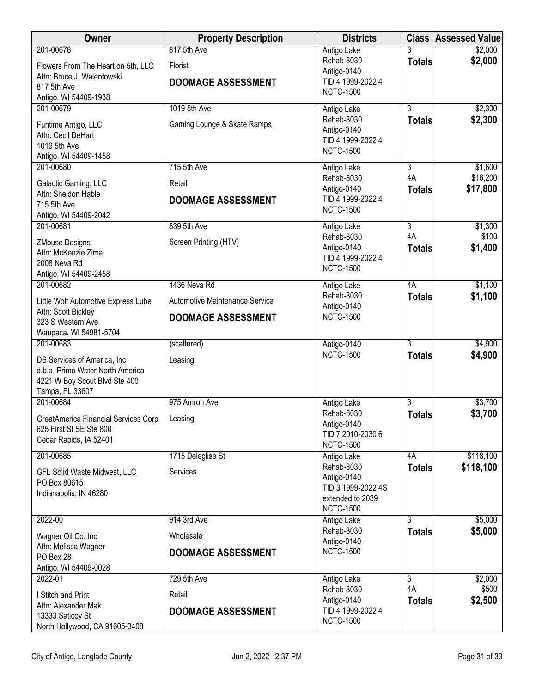| Owner                                                                                                                             | <b>Property Description</b>                                                 | <b>Districts</b>                                                                                       |                                       | <b>Class Assessed Value</b>     |
|-----------------------------------------------------------------------------------------------------------------------------------|-----------------------------------------------------------------------------|--------------------------------------------------------------------------------------------------------|---------------------------------------|---------------------------------|
| 201-00678<br>Flowers From The Heart on 5th, LLC<br>Attn: Bruce J. Walentowski<br>817 5th Ave<br>Antigo, WI 54409-1938             | 817 5th Ave<br>Florist<br><b>DOOMAGE ASSESSMENT</b>                         | Antigo Lake<br>Rehab-8030<br>Antigo-0140<br>TID 4 1999-2022 4<br><b>NCTC-1500</b>                      | <b>Totals</b>                         | \$2,000<br>\$2,000              |
| 201-00679<br>Funtime Antigo, LLC<br>Attn: Cecil DeHart<br>1019 5th Ave<br>Antigo, WI 54409-1458                                   | 1019 5th Ave<br>Gaming Lounge & Skate Ramps                                 | Antigo Lake<br>Rehab-8030<br>Antigo-0140<br>TID 4 1999-2022 4<br><b>NCTC-1500</b>                      | 3<br><b>Totals</b>                    | \$2,300<br>\$2,300              |
| 201-00680<br>Galactic Gaming, LLC<br>Attn: Sheldon Hable<br>715 5th Ave<br>Antigo, WI 54409-2042                                  | 715 5th Ave<br>Retail<br><b>DOOMAGE ASSESSMENT</b>                          | Antigo Lake<br>Rehab-8030<br>Antigo-0140<br>TID 4 1999-2022 4<br><b>NCTC-1500</b>                      | 3<br>4A<br><b>Totals</b>              | \$1,600<br>\$16,200<br>\$17,800 |
| 201-00681<br><b>ZMouse Designs</b><br>Attn: McKenzie Zima<br>2008 Neva Rd<br>Antigo, WI 54409-2458                                | 839 5th Ave<br>Screen Printing (HTV)                                        | Antigo Lake<br>Rehab-8030<br>Antigo-0140<br>TID 4 1999-2022 4<br><b>NCTC-1500</b>                      | $\overline{3}$<br>4A<br><b>Totals</b> | \$1,300<br>\$100<br>\$1,400     |
| 201-00682<br>Little Wolf Automotive Express Lube<br>Attn: Scott Bickley<br>323 S Western Ave<br>Waupaca, WI 54981-5704            | 1436 Neva Rd<br>Automotive Maintenance Service<br><b>DOOMAGE ASSESSMENT</b> | Antigo Lake<br>Rehab-8030<br>Antigo-0140<br><b>NCTC-1500</b>                                           | 4A<br><b>Totals</b>                   | \$1,100<br>\$1,100              |
| 201-00683<br>DS Services of America, Inc.<br>d.b.a. Primo Water North America<br>4221 W Boy Scout Blvd Ste 400<br>Tampa, FL 33607 | (scattered)<br>Leasing                                                      | Antigo-0140<br><b>NCTC-1500</b>                                                                        | $\overline{3}$<br><b>Totals</b>       | \$4,900<br>\$4,900              |
| 201-00684<br>GreatAmerica Financial Services Corp<br>625 First St SE Ste 800<br>Cedar Rapids, IA 52401                            | 975 Amron Ave<br>Leasing                                                    | Antigo Lake<br>Rehab-8030<br>Antigo-0140<br>TID 7 2010-2030 6<br><b>NCTC-1500</b>                      | $\overline{3}$<br><b>Totals</b>       | \$3,700<br>\$3,700              |
| 201-00685<br>GFL Solid Waste Midwest, LLC<br>PO Box 80615<br>Indianapolis, IN 46280                                               | 1715 Deleglise St<br>Services                                               | Antigo Lake<br>Rehab-8030<br>Antigo-0140<br>TID 3 1999-2022 4S<br>extended to 2039<br><b>NCTC-1500</b> | 4A<br><b>Totals</b>                   | \$118,100<br>\$118,100          |
| 2022-00<br>Wagner Oil Co, Inc.<br>Attn: Melissa Wagner<br>PO Box 28<br>Antigo, WI 54409-0028                                      | 914 3rd Ave<br>Wholesale<br><b>DOOMAGE ASSESSMENT</b>                       | Antigo Lake<br>Rehab-8030<br>Antigo-0140<br><b>NCTC-1500</b>                                           | 3<br><b>Totals</b>                    | \$5,000<br>\$5,000              |
| 2022-01<br>I Stitch and Print<br>Attn: Alexander Mak<br>13333 Saticoy St<br>North Hollywood, CA 91605-3408                        | 729 5th Ave<br>Retail<br><b>DOOMAGE ASSESSMENT</b>                          | Antigo Lake<br>Rehab-8030<br>Antigo-0140<br>TID 4 1999-2022 4<br><b>NCTC-1500</b>                      | $\overline{3}$<br>4A<br><b>Totals</b> | \$2,000<br>\$500<br>\$2,500     |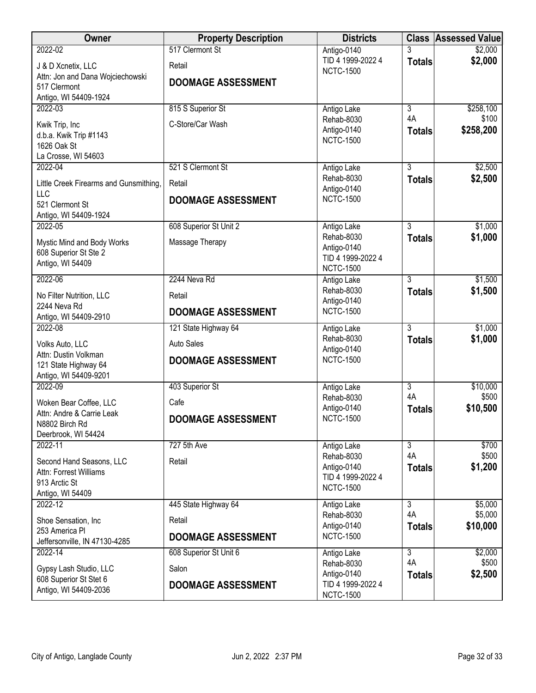| Owner                                               | <b>Property Description</b> | <b>Districts</b>                      |                      | <b>Class Assessed Value</b> |
|-----------------------------------------------------|-----------------------------|---------------------------------------|----------------------|-----------------------------|
| 2022-02                                             | 517 Clermont St             | Antigo-0140                           |                      | \$2,000                     |
| J & D Xcnetix, LLC                                  | Retail                      | TID 4 1999-2022 4<br><b>NCTC-1500</b> | <b>Totals</b>        | \$2,000                     |
| Attn: Jon and Dana Wojciechowski                    | <b>DOOMAGE ASSESSMENT</b>   |                                       |                      |                             |
| 517 Clermont                                        |                             |                                       |                      |                             |
| Antigo, WI 54409-1924<br>2022-03                    |                             |                                       | $\overline{3}$       |                             |
|                                                     | 815 S Superior St           | Antigo Lake<br>Rehab-8030             | 4A                   | \$258,100<br>\$100          |
| Kwik Trip, Inc                                      | C-Store/Car Wash            | Antigo-0140                           | <b>Totals</b>        | \$258,200                   |
| d.b.a. Kwik Trip #1143                              |                             | <b>NCTC-1500</b>                      |                      |                             |
| 1626 Oak St<br>La Crosse, WI 54603                  |                             |                                       |                      |                             |
| 2022-04                                             | 521 S Clermont St           | Antigo Lake                           | 3                    | \$2,500                     |
|                                                     |                             | Rehab-8030                            | <b>Totals</b>        | \$2,500                     |
| Little Creek Firearms and Gunsmithing,<br>LLC       | Retail                      | Antigo-0140                           |                      |                             |
| 521 Clermont St                                     | <b>DOOMAGE ASSESSMENT</b>   | <b>NCTC-1500</b>                      |                      |                             |
| Antigo, WI 54409-1924                               |                             |                                       |                      |                             |
| 2022-05                                             | 608 Superior St Unit 2      | Antigo Lake                           | 3                    | \$1,000                     |
| Mystic Mind and Body Works                          | Massage Therapy             | Rehab-8030                            | <b>Totals</b>        | \$1,000                     |
| 608 Superior St Ste 2                               |                             | Antigo-0140                           |                      |                             |
| Antigo, WI 54409                                    |                             | TID 4 1999-2022 4<br><b>NCTC-1500</b> |                      |                             |
| 2022-06                                             | 2244 Neva Rd                | Antigo Lake                           | 3                    | \$1,500                     |
|                                                     | Retail                      | Rehab-8030                            | <b>Totals</b>        | \$1,500                     |
| No Filter Nutrition, LLC<br>2244 Neva Rd            |                             | Antigo-0140                           |                      |                             |
| Antigo, WI 54409-2910                               | <b>DOOMAGE ASSESSMENT</b>   | <b>NCTC-1500</b>                      |                      |                             |
| 2022-08                                             | 121 State Highway 64        | Antigo Lake                           | $\overline{3}$       | \$1,000                     |
| Volks Auto, LLC                                     | <b>Auto Sales</b>           | Rehab-8030                            | <b>Totals</b>        | \$1,000                     |
| Attn: Dustin Volkman                                | <b>DOOMAGE ASSESSMENT</b>   | Antigo-0140<br><b>NCTC-1500</b>       |                      |                             |
| 121 State Highway 64                                |                             |                                       |                      |                             |
| Antigo, WI 54409-9201<br>2022-09                    | 403 Superior St             | Antigo Lake                           | $\overline{3}$       | \$10,000                    |
|                                                     |                             | Rehab-8030                            | 4A                   | \$500                       |
| Woken Bear Coffee, LLC<br>Attn: Andre & Carrie Leak | Cafe                        | Antigo-0140                           | <b>Totals</b>        | \$10,500                    |
| N8802 Birch Rd                                      | DOOMAGE ASSESSMENT          | <b>NCTC-1500</b>                      |                      |                             |
| Deerbrook, WI 54424                                 |                             |                                       |                      |                             |
| 2022-11                                             | 727 5th Ave                 | Antigo Lake                           | $\overline{3}$       | \$700                       |
| Second Hand Seasons, LLC                            | Retail                      | Rehab-8030                            | 4A                   | \$500                       |
| Attn: Forrest Williams                              |                             | Antigo-0140<br>TID 4 1999-2022 4      | <b>Totals</b>        | \$1,200                     |
| 913 Arctic St                                       |                             | <b>NCTC-1500</b>                      |                      |                             |
| Antigo, WI 54409                                    |                             |                                       |                      |                             |
| 2022-12                                             | 445 State Highway 64        | Antigo Lake<br>Rehab-8030             | $\overline{3}$<br>4A | \$5,000<br>\$5,000          |
| Shoe Sensation, Inc                                 | Retail                      | Antigo-0140                           | <b>Totals</b>        | \$10,000                    |
| 253 America PI                                      | <b>DOOMAGE ASSESSMENT</b>   | <b>NCTC-1500</b>                      |                      |                             |
| Jeffersonville, IN 47130-4285<br>2022-14            | 608 Superior St Unit 6      | Antigo Lake                           | $\overline{3}$       | \$2,000                     |
|                                                     |                             | Rehab-8030                            | 4A                   | \$500                       |
| Gypsy Lash Studio, LLC                              | Salon                       | Antigo-0140                           | <b>Totals</b>        | \$2,500                     |
| 608 Superior St Stet 6<br>Antigo, WI 54409-2036     | <b>DOOMAGE ASSESSMENT</b>   | TID 4 1999-2022 4                     |                      |                             |
|                                                     |                             | <b>NCTC-1500</b>                      |                      |                             |